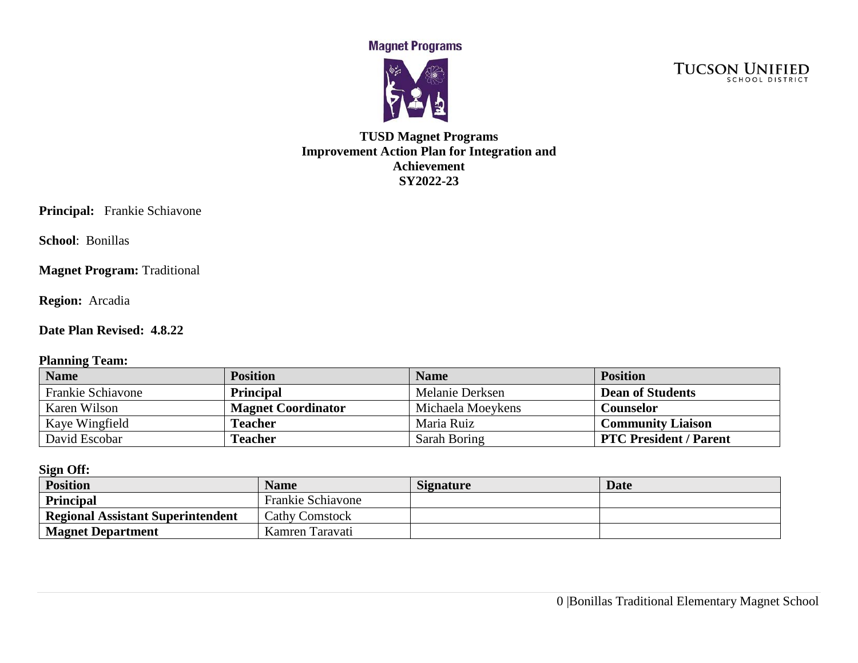**Magnet Programs** 



**TUCSON UNIFIED** 

## **TUSD Magnet Programs Improvement Action Plan for Integration and Achievement SY2022-23**

**Principal:** Frankie Schiavone

**School**: Bonillas

**Magnet Program: Traditional** 

**Region:** Arcadia

#### **Date Plan Revised: 4.8.22**

#### **Planning Team:**

| <b>Name</b>       | <b>Position</b>           | <b>Name</b>       | <b>Position</b>               |
|-------------------|---------------------------|-------------------|-------------------------------|
| Frankie Schiavone | <b>Principal</b>          | Melanie Derksen   | <b>Dean of Students</b>       |
| Karen Wilson      | <b>Magnet Coordinator</b> | Michaela Moeykens | Counselor                     |
| Kaye Wingfield    | Teacher                   | Maria Ruiz        | <b>Community Liaison</b>      |
| David Escobar     | Teacher                   | Sarah Boring      | <b>PTC President / Parent</b> |

**Sign Off:** 

| <b>Position</b>                          | <b>Name</b>              | <b>Signature</b> | <b>Date</b> |
|------------------------------------------|--------------------------|------------------|-------------|
| Principal                                | <b>Frankie Schiavone</b> |                  |             |
| <b>Regional Assistant Superintendent</b> | <b>Cathy Comstock</b>    |                  |             |
| <b>Magnet Department</b>                 | Kamren Taravati          |                  |             |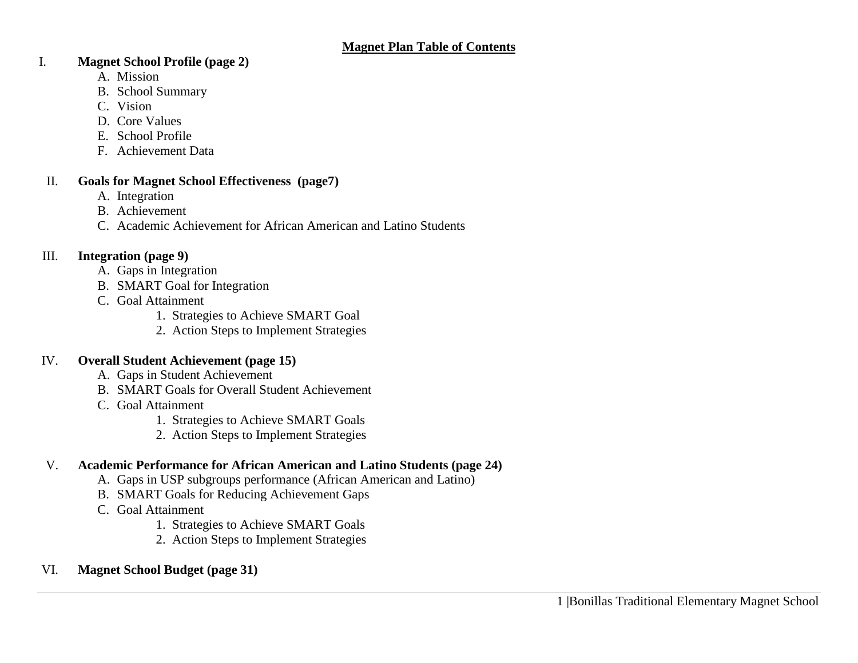#### I. **Magnet School Profile (page 2)**

- A. Mission
- B. School Summary
- C. Vision
- D. Core Values
- E. School Profile
- F. Achievement Data

### II. **Goals for Magnet School Effectiveness (page7)**

- A. Integration
- B. Achievement
- C. Academic Achievement for African American and Latino Students

# III. **Integration (page 9)**

- A. Gaps in Integration
- B. SMART Goal for Integration
- C. Goal Attainment
	- 1. Strategies to Achieve SMART Goal
	- 2. Action Steps to Implement Strategies

### IV. **Overall Student Achievement (page 15)**

- A. Gaps in Student Achievement
- B. SMART Goals for Overall Student Achievement
- C. Goal Attainment
	- 1. Strategies to Achieve SMART Goals
	- 2. Action Steps to Implement Strategies

# V. **Academic Performance for African American and Latino Students (page 24)**

- A. Gaps in USP subgroups performance (African American and Latino)
- B. SMART Goals for Reducing Achievement Gaps
- C. Goal Attainment
	- 1. Strategies to Achieve SMART Goals
	- 2. Action Steps to Implement Strategies

# VI. **Magnet School Budget (page 31)**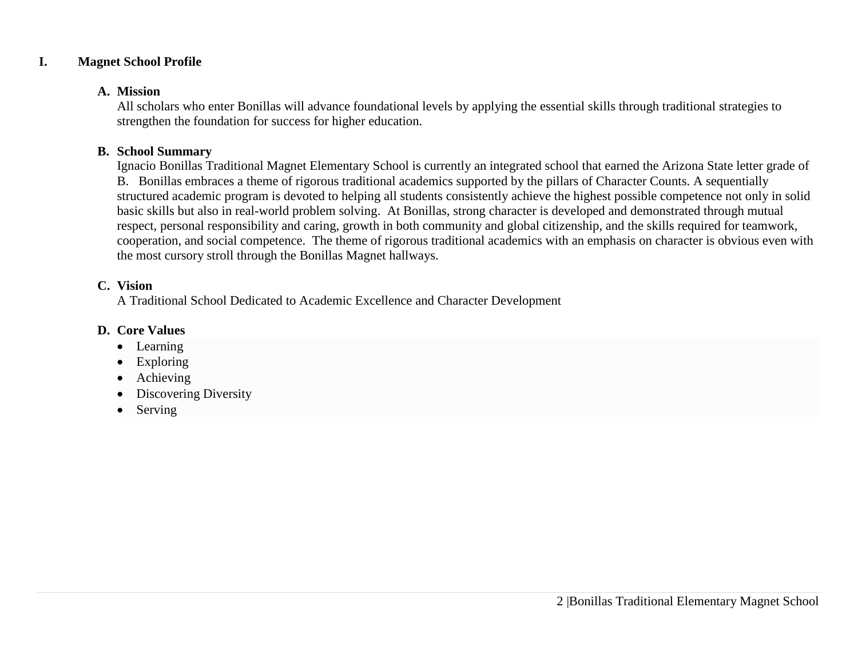### **I. Magnet School Profile**

#### **A. Mission**

All scholars who enter Bonillas will advance foundational levels by applying the essential skills through traditional strategies to strengthen the foundation for success for higher education.

### **B. School Summary**

Ignacio Bonillas Traditional Magnet Elementary School is currently an integrated school that earned the Arizona State letter grade of B. Bonillas embraces a theme of rigorous traditional academics supported by the pillars of Character Counts. A sequentially structured academic program is devoted to helping all students consistently achieve the highest possible competence not only in solid basic skills but also in real-world problem solving. At Bonillas, strong character is developed and demonstrated through mutual respect, personal responsibility and caring, growth in both community and global citizenship, and the skills required for teamwork, cooperation, and social competence. The theme of rigorous traditional academics with an emphasis on character is obvious even with the most cursory stroll through the Bonillas Magnet hallways.

### **C. Vision**

A Traditional School Dedicated to Academic Excellence and Character Development

### **D. Core Values**

- Learning
- Exploring
- Achieving
- Discovering Diversity
- Serving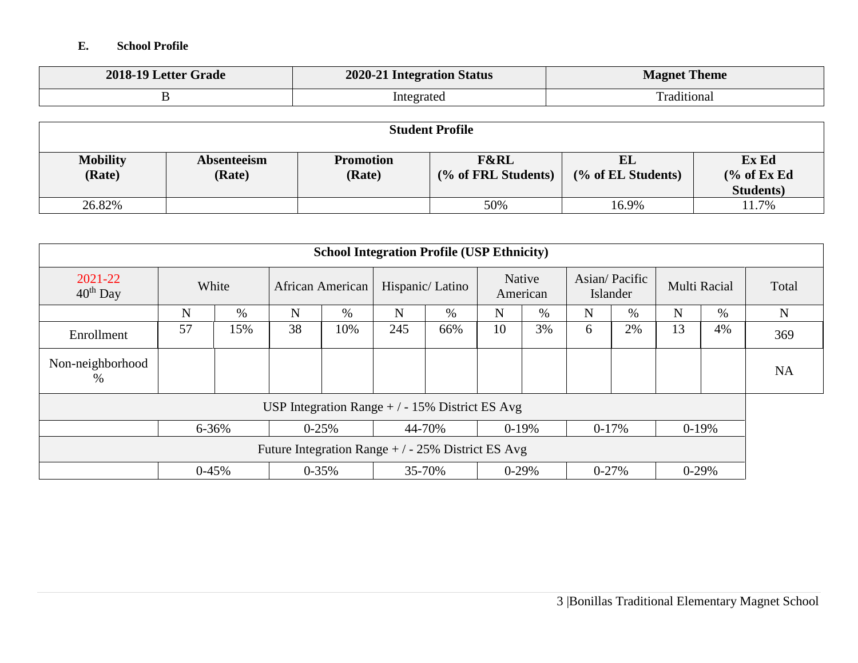### **E. School Profile**

| 2018-19 Letter Grade | 2020-21 Integration Status | <b>Magnet Theme</b> |
|----------------------|----------------------------|---------------------|
|                      | Integrated                 | `raditional         |

| <b>Student Profile</b>    |                       |                            |                                        |                          |                                                      |  |
|---------------------------|-----------------------|----------------------------|----------------------------------------|--------------------------|------------------------------------------------------|--|
| <b>Mobility</b><br>(Rate) | Absenteeism<br>(Rate) | <b>Promotion</b><br>(Rate) | <b>F&amp;RL</b><br>(% of FRL Students) | EL<br>(% of EL Students) | Ex Ed<br>$\frac{6}{6}$ of Ex Ed<br><b>Students</b> ) |  |
| 26.82%                    |                       |                            | 50%                                    | 16.9%                    | 1.7%                                                 |  |

| <b>School Integration Profile (USP Ethnicity)</b>  |                        |       |    |                                                 |     |                 |             |                    |         |                           |    |                     |           |
|----------------------------------------------------|------------------------|-------|----|-------------------------------------------------|-----|-----------------|-------------|--------------------|---------|---------------------------|----|---------------------|-----------|
| $2021 - 22$<br>$40th$ Day                          |                        | White |    | African American                                |     | Hispanic/Latino |             | Native<br>American |         | Asian/Pacific<br>Islander |    | <b>Multi Racial</b> | Total     |
|                                                    | N                      | $\%$  | N  | $\%$                                            | N   | %               | $\mathbf N$ | $\%$               | N       | $\%$                      | N  | $\%$                | N         |
| Enrollment                                         | 57                     | 15%   | 38 | 10%                                             | 245 | 66%             | 10          | 3%                 | 6       | 2%                        | 13 | 4%                  | 369       |
| Non-neighborhood<br>%                              |                        |       |    |                                                 |     |                 |             |                    |         |                           |    |                     | <b>NA</b> |
|                                                    |                        |       |    | USP Integration Range $+/-15\%$ District ES Avg |     |                 |             |                    |         |                           |    |                     |           |
|                                                    | $6 - 36%$<br>$0 - 25%$ |       |    | 44-70%                                          |     | $0-19%$         |             | $0-17%$            | $0-19%$ |                           |    |                     |           |
| Future Integration Range $+/-25\%$ District ES Avg |                        |       |    |                                                 |     |                 |             |                    |         |                           |    |                     |           |
|                                                    | $0-45%$                |       |    | $0 - 35\%$                                      |     | 35-70%          |             | $0-29%$            |         | $0 - 27%$                 |    | $0-29%$             |           |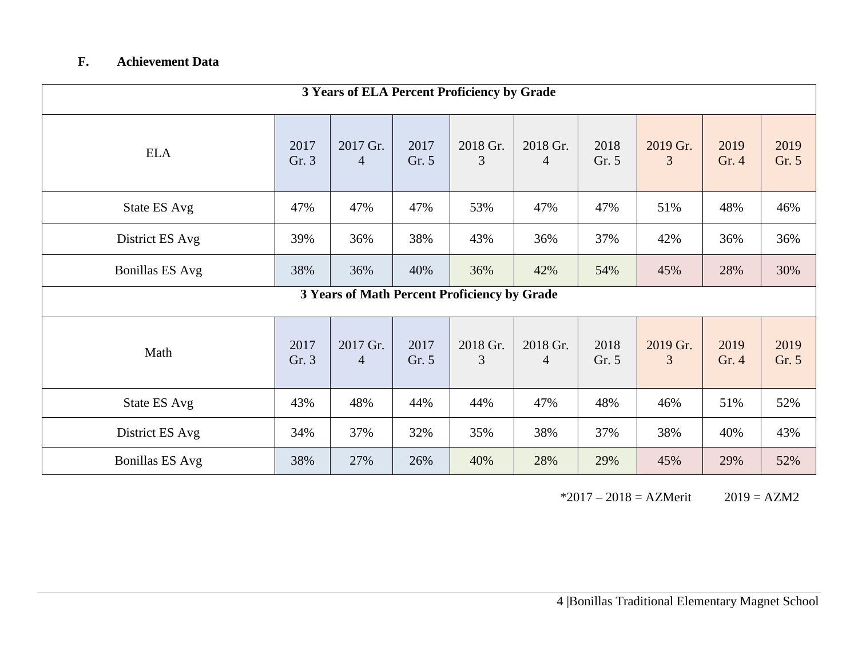# **F. Achievement Data**

| 3 Years of ELA Percent Proficiency by Grade |               |                                              |               |               |               |               |               |               |               |
|---------------------------------------------|---------------|----------------------------------------------|---------------|---------------|---------------|---------------|---------------|---------------|---------------|
| <b>ELA</b>                                  | 2017<br>Gr. 3 | 2017 Gr.<br>$\overline{4}$                   | 2017<br>Gr. 5 | 2018 Gr.<br>3 | 2018 Gr.<br>4 | 2018<br>Gr. 5 | 2019 Gr.<br>3 | 2019<br>Gr. 4 | 2019<br>Gr. 5 |
| <b>State ES Avg</b>                         | 47%           | 47%                                          | 47%           | 53%           | 47%           | 47%           | 51%           | 48%           | 46%           |
| District ES Avg                             | 39%           | 36%                                          | 38%           | 43%           | 36%           | 37%           | 42%           | 36%           | 36%           |
| <b>Bonillas ES Avg</b>                      | 38%           | 36%                                          | 40%           | 36%           | 42%           | 54%           | 45%           | 28%           | 30%           |
|                                             |               | 3 Years of Math Percent Proficiency by Grade |               |               |               |               |               |               |               |
| Math                                        | 2017<br>Gr. 3 | 2017 Gr.<br>4                                | 2017<br>Gr. 5 | 2018 Gr.<br>3 | 2018 Gr.<br>4 | 2018<br>Gr. 5 | 2019 Gr.<br>3 | 2019<br>Gr. 4 | 2019<br>Gr. 5 |
| State ES Avg                                | 43%           | 48%                                          | 44%           | 44%           | 47%           | 48%           | 46%           | 51%           | 52%           |
| District ES Avg                             | 34%           | 37%                                          | 32%           | 35%           | 38%           | 37%           | 38%           | 40%           | 43%           |
| <b>Bonillas ES Avg</b>                      | 38%           | 27%                                          | 26%           | 40%           | 28%           | 29%           | 45%           | 29%           | 52%           |

 $*2017 - 2018 = AZMerit$  2019 = AZM2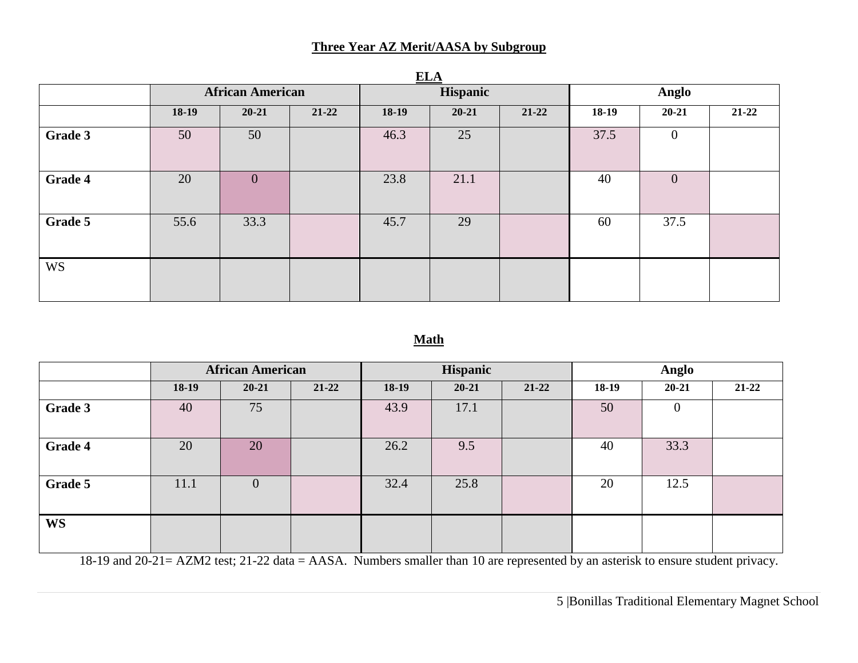### **Three Year AZ Merit/AASA by Subgroup**

|                |                         |              |           | ----  |           |           |         |                  |           |  |
|----------------|-------------------------|--------------|-----------|-------|-----------|-----------|---------|------------------|-----------|--|
|                | <b>African American</b> |              |           |       | Hispanic  |           |         | <b>Anglo</b>     |           |  |
|                | 18-19                   | $20 - 21$    | $21 - 22$ | 18-19 | $20 - 21$ | $21 - 22$ | $18-19$ | $20 - 21$        | $21 - 22$ |  |
| Grade 3        | 50                      | 50           |           | 46.3  | 25        |           | 37.5    | $\boldsymbol{0}$ |           |  |
| <b>Grade 4</b> | 20                      | $\mathbf{0}$ |           | 23.8  | 21.1      |           | 40      | $\mathbf{0}$     |           |  |
| Grade 5        | 55.6                    | 33.3         |           | 45.7  | 29        |           | 60      | 37.5             |           |  |
| <b>WS</b>      |                         |              |           |       |           |           |         |                  |           |  |

**ELA**

### **Math**

|           | <b>African American</b> |                |           |         | Hispanic  |           |         | Anglo        |       |  |
|-----------|-------------------------|----------------|-----------|---------|-----------|-----------|---------|--------------|-------|--|
|           | 18-19                   | $20 - 21$      | $21 - 22$ | $18-19$ | $20 - 21$ | $21 - 22$ | $18-19$ | $20 - 21$    | 21-22 |  |
| Grade 3   | 40                      | 75             |           | 43.9    | 17.1      |           | 50      | $\mathbf{0}$ |       |  |
| Grade 4   | 20                      | 20             |           | 26.2    | 9.5       |           | 40      | 33.3         |       |  |
| Grade 5   | 11.1                    | $\overline{0}$ |           | 32.4    | 25.8      |           | 20      | 12.5         |       |  |
| <b>WS</b> |                         |                |           |         |           |           |         |              |       |  |

18-19 and 20-21= AZM2 test; 21-22 data = AASA. Numbers smaller than 10 are represented by an asterisk to ensure student privacy.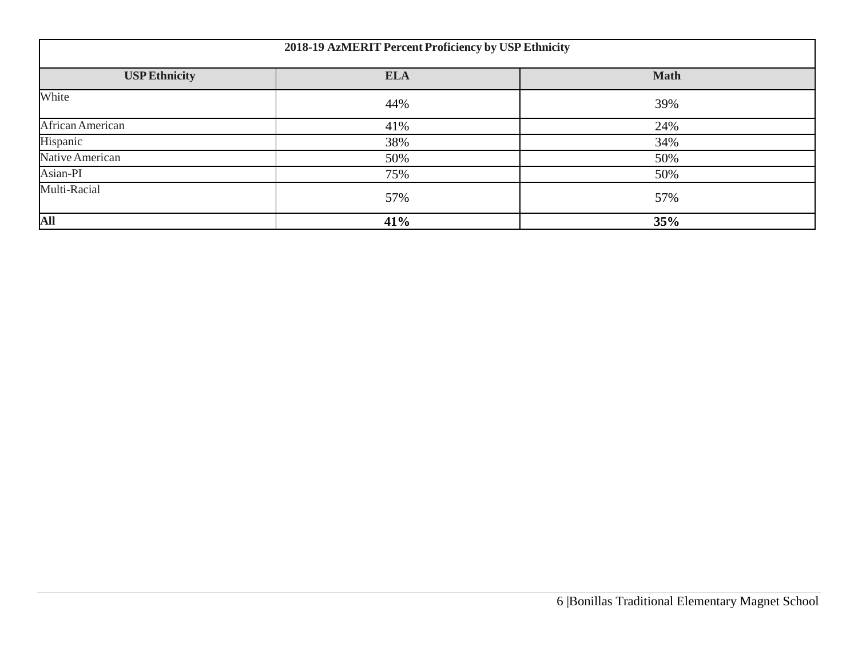| 2018-19 AzMERIT Percent Proficiency by USP Ethnicity |            |             |  |  |  |  |
|------------------------------------------------------|------------|-------------|--|--|--|--|
| <b>USP Ethnicity</b>                                 | <b>ELA</b> | <b>Math</b> |  |  |  |  |
| White                                                | 44%        | 39%         |  |  |  |  |
| African American                                     | 41%        | 24%         |  |  |  |  |
| Hispanic                                             | 38%        | 34%         |  |  |  |  |
| Native American                                      | 50%        | 50%         |  |  |  |  |
| Asian-PI                                             | 75%        | 50%         |  |  |  |  |
| Multi-Racial                                         | 57%        | 57%         |  |  |  |  |
| All                                                  | 41%        | 35%         |  |  |  |  |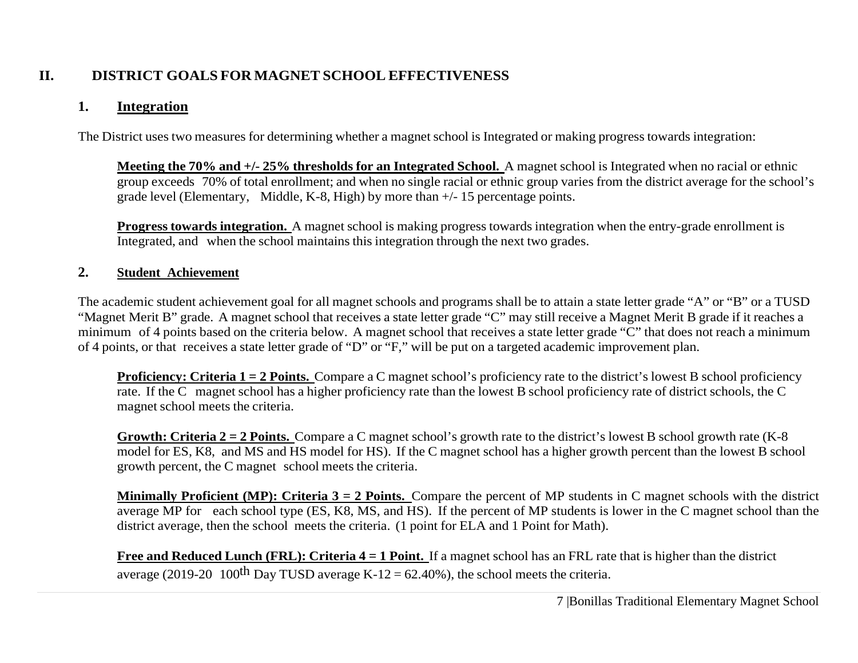# **II. DISTRICT GOALS FOR MAGNET SCHOOL EFFECTIVENESS**

# **1. Integration**

The District uses two measures for determining whether a magnet school is Integrated or making progress towards integration:

**Meeting the 70% and +/- 25% thresholds for an Integrated School.** A magnet school is Integrated when no racial or ethnic group exceeds 70% of total enrollment; and when no single racial or ethnic group varies from the district average for the school's grade level (Elementary, Middle, K-8, High) by more than +/- 15 percentage points.

**Progress towards integration.** A magnet school is making progress towards integration when the entry-grade enrollment is Integrated, and when the school maintains this integration through the next two grades.

## **2. Student Achievement**

The academic student achievement goal for all magnet schools and programs shall be to attain a state letter grade "A" or "B" or a TUSD "Magnet Merit B" grade. A magnet school that receives a state letter grade "C" may still receive a Magnet Merit B grade if it reaches a minimum of 4 points based on the criteria below. A magnet school that receives a state letter grade "C" that does not reach a minimum of 4 points, or that receives a state letter grade of "D" or "F," will be put on a targeted academic improvement plan.

**Proficiency: Criteria 1 = 2 Points.** Compare a C magnet school's proficiency rate to the district's lowest B school proficiency rate. If the C magnet school has a higher proficiency rate than the lowest B school proficiency rate of district schools, the C magnet school meets the criteria.

**Growth: Criteria 2 = 2 Points.** Compare a C magnet school's growth rate to the district's lowest B school growth rate (K-8 model for ES, K8, and MS and HS model for HS). If the C magnet school has a higher growth percent than the lowest B school growth percent, the C magnet school meets the criteria.

**Minimally Proficient (MP): Criteria 3 = 2 Points.** Compare the percent of MP students in C magnet schools with the district average MP for each school type (ES, K8, MS, and HS). If the percent of MP students is lower in the C magnet school than the district average, then the school meets the criteria. (1 point for ELA and 1 Point for Math).

**Free and Reduced Lunch (FRL): Criteria 4 = 1 Point.** If a magnet school has an FRL rate that is higher than the district average (2019-20 100<sup>th</sup> Day TUSD average K-12 = 62.40%), the school meets the criteria.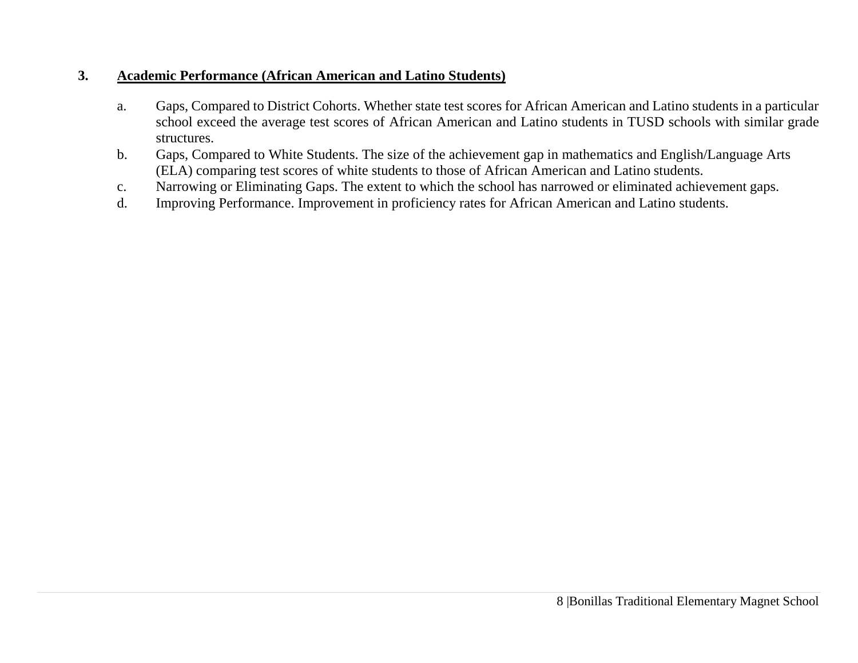## **3. Academic Performance (African American and Latino Students)**

- a. Gaps, Compared to District Cohorts. Whether state test scores for African American and Latino students in a particular school exceed the average test scores of African American and Latino students in TUSD schools with similar grade structures.
- b. Gaps, Compared to White Students. The size of the achievement gap in mathematics and English/Language Arts (ELA) comparing test scores of white students to those of African American and Latino students.
- c. Narrowing or Eliminating Gaps. The extent to which the school has narrowed or eliminated achievement gaps.
- d. Improving Performance. Improvement in proficiency rates for African American and Latino students.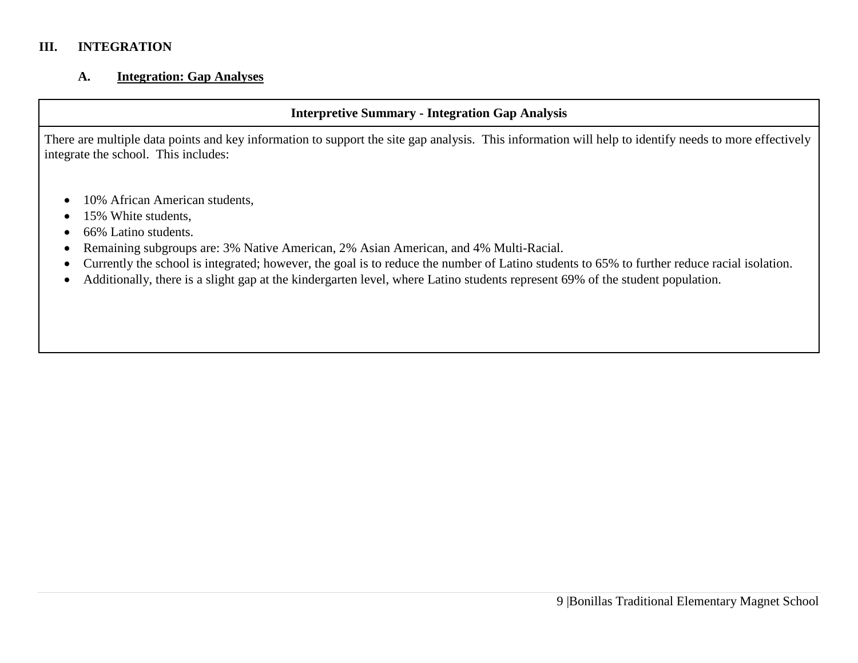### **III. INTEGRATION**

#### **A. Integration: Gap Analyses**

## **Interpretive Summary - Integration Gap Analysis**

There are multiple data points and key information to support the site gap analysis. This information will help to identify needs to more effectively integrate the school. This includes:

- 10% African American students,
- 15% White students,
- 66% Latino students.
- Remaining subgroups are: 3% Native American, 2% Asian American, and 4% Multi-Racial.
- Currently the school is integrated; however, the goal is to reduce the number of Latino students to 65% to further reduce racial isolation.
- Additionally, there is a slight gap at the kindergarten level, where Latino students represent 69% of the student population.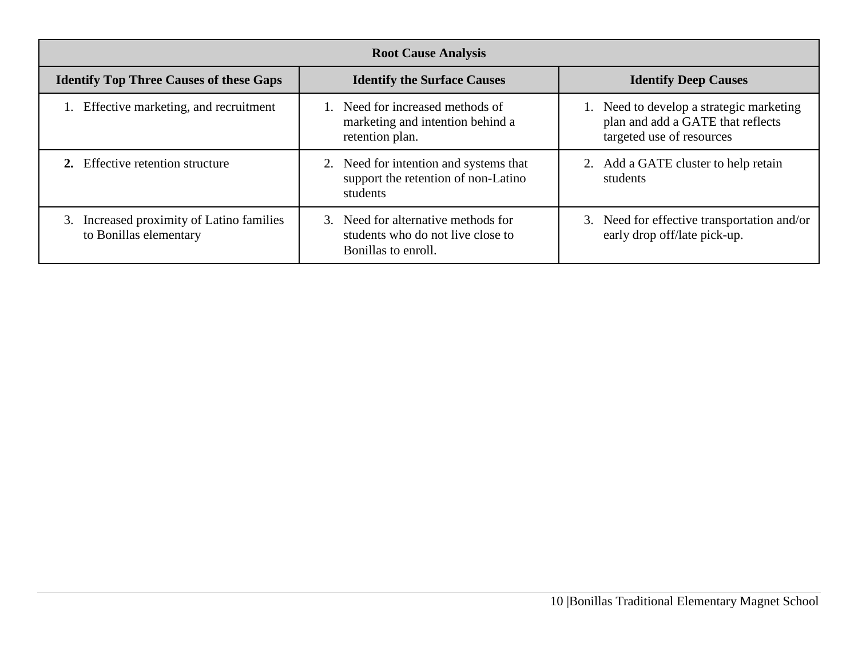| <b>Root Cause Analysis</b>                                             |                                                                                                 |                                                                                                            |  |  |  |  |  |  |  |
|------------------------------------------------------------------------|-------------------------------------------------------------------------------------------------|------------------------------------------------------------------------------------------------------------|--|--|--|--|--|--|--|
| <b>Identify Top Three Causes of these Gaps</b>                         | <b>Identify the Surface Causes</b>                                                              | <b>Identify Deep Causes</b>                                                                                |  |  |  |  |  |  |  |
| Effective marketing, and recruitment                                   | 1. Need for increased methods of<br>marketing and intention behind a<br>retention plan.         | 1. Need to develop a strategic marketing<br>plan and add a GATE that reflects<br>targeted use of resources |  |  |  |  |  |  |  |
| 2. Effective retention structure                                       | 2. Need for intention and systems that<br>support the retention of non-Latino<br>students       | 2. Add a GATE cluster to help retain<br>students                                                           |  |  |  |  |  |  |  |
| Increased proximity of Latino families<br>3.<br>to Bonillas elementary | 3. Need for alternative methods for<br>students who do not live close to<br>Bonillas to enroll. | 3. Need for effective transportation and/or<br>early drop off/late pick-up.                                |  |  |  |  |  |  |  |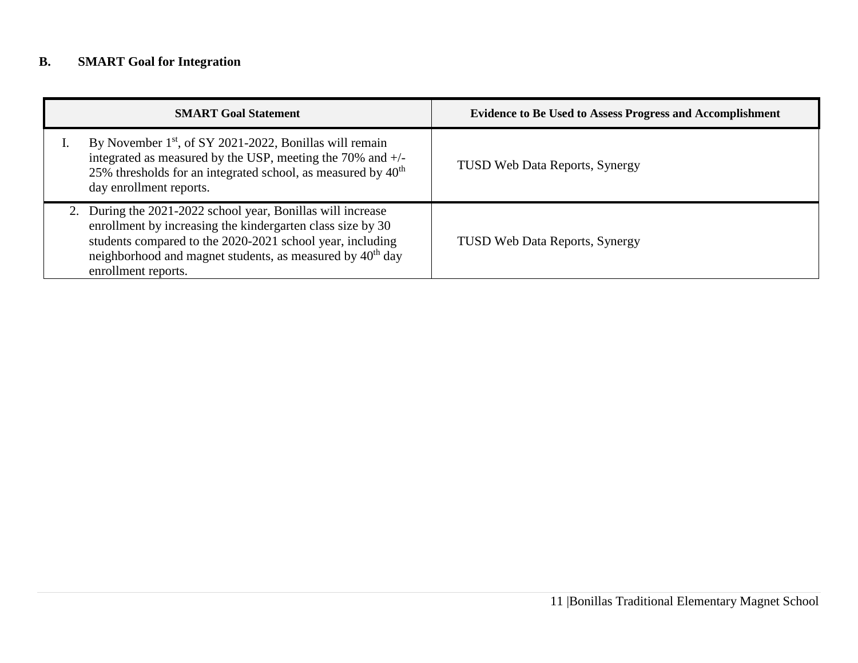# **B. SMART Goal for Integration**

| <b>SMART Goal Statement</b>                                                                                                                                                                                                                                                            | <b>Evidence to Be Used to Assess Progress and Accomplishment</b> |
|----------------------------------------------------------------------------------------------------------------------------------------------------------------------------------------------------------------------------------------------------------------------------------------|------------------------------------------------------------------|
| By November 1 <sup>st</sup> , of SY 2021-2022, Bonillas will remain<br>integrated as measured by the USP, meeting the 70% and $+/-$<br>25% thresholds for an integrated school, as measured by $40th$<br>day enrollment reports.                                                       | <b>TUSD Web Data Reports, Synergy</b>                            |
| 2. During the 2021-2022 school year, Bonillas will increase<br>enrollment by increasing the kindergarten class size by 30<br>students compared to the 2020-2021 school year, including<br>neighborhood and magnet students, as measured by 40 <sup>th</sup> day<br>enrollment reports. | <b>TUSD Web Data Reports, Synergy</b>                            |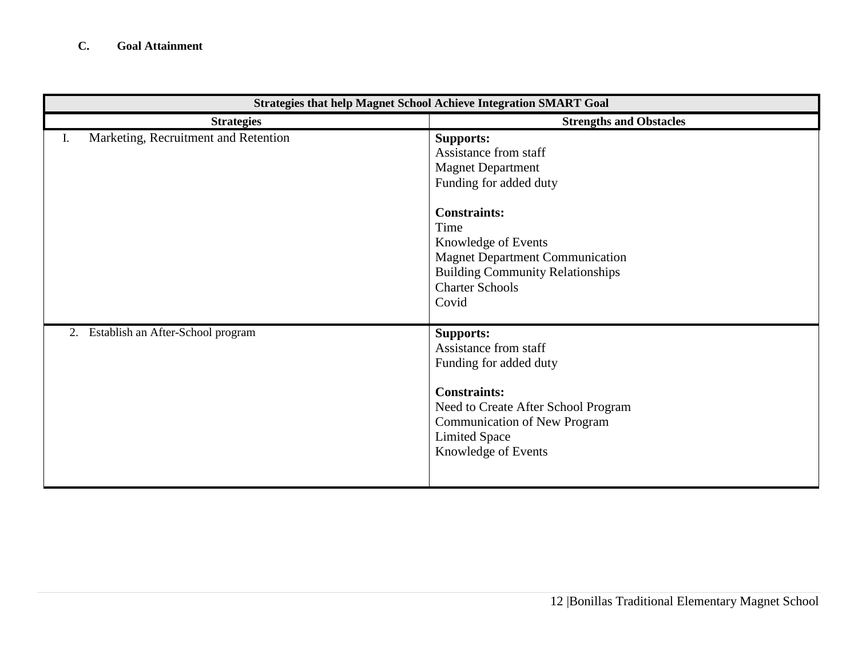| <b>Strategies that help Magnet School Achieve Integration SMART Goal</b> |                                                                                                                                                                                                                                                                               |  |  |  |  |  |
|--------------------------------------------------------------------------|-------------------------------------------------------------------------------------------------------------------------------------------------------------------------------------------------------------------------------------------------------------------------------|--|--|--|--|--|
| <b>Strategies</b>                                                        | <b>Strengths and Obstacles</b>                                                                                                                                                                                                                                                |  |  |  |  |  |
| Marketing, Recruitment and Retention<br>I.                               | <b>Supports:</b><br>Assistance from staff<br><b>Magnet Department</b><br>Funding for added duty<br><b>Constraints:</b><br>Time<br>Knowledge of Events<br><b>Magnet Department Communication</b><br><b>Building Community Relationships</b><br><b>Charter Schools</b><br>Covid |  |  |  |  |  |
| Establish an After-School program<br>2.                                  | <b>Supports:</b><br>Assistance from staff<br>Funding for added duty<br><b>Constraints:</b><br>Need to Create After School Program<br><b>Communication of New Program</b><br><b>Limited Space</b><br>Knowledge of Events                                                       |  |  |  |  |  |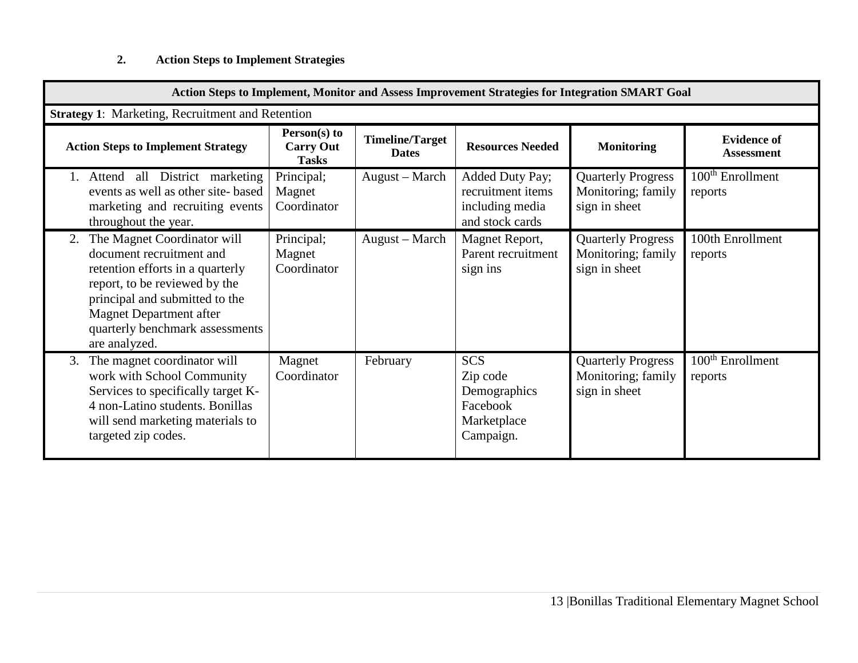# **2. Action Steps to Implement Strategies**

| Action Steps to Implement, Monitor and Assess Improvement Strategies for Integration SMART Goal                                                                                                                                                            |                                                  |                                        |                                                                                |                                                                  |                                         |
|------------------------------------------------------------------------------------------------------------------------------------------------------------------------------------------------------------------------------------------------------------|--------------------------------------------------|----------------------------------------|--------------------------------------------------------------------------------|------------------------------------------------------------------|-----------------------------------------|
| <b>Strategy 1: Marketing, Recruitment and Retention</b>                                                                                                                                                                                                    |                                                  |                                        |                                                                                |                                                                  |                                         |
| <b>Action Steps to Implement Strategy</b>                                                                                                                                                                                                                  | Person(s) to<br><b>Carry Out</b><br><b>Tasks</b> | <b>Timeline/Target</b><br><b>Dates</b> | <b>Resources Needed</b>                                                        | <b>Monitoring</b>                                                | <b>Evidence of</b><br>Assessment        |
| Attend all District marketing<br>events as well as other site-based<br>marketing and recruiting events<br>throughout the year.                                                                                                                             | Principal;<br>Magnet<br>Coordinator              | August – March                         | Added Duty Pay;<br>recruitment items<br>including media<br>and stock cards     | <b>Quarterly Progress</b><br>Monitoring; family<br>sign in sheet | 100 <sup>th</sup> Enrollment<br>reports |
| The Magnet Coordinator will<br>2.<br>document recruitment and<br>retention efforts in a quarterly<br>report, to be reviewed by the<br>principal and submitted to the<br><b>Magnet Department after</b><br>quarterly benchmark assessments<br>are analyzed. | Principal;<br>Magnet<br>Coordinator              | August – March                         | Magnet Report,<br>Parent recruitment<br>sign ins                               | <b>Quarterly Progress</b><br>Monitoring; family<br>sign in sheet | 100th Enrollment<br>reports             |
| The magnet coordinator will<br>3.<br>work with School Community<br>Services to specifically target K-<br>4 non-Latino students. Bonillas<br>will send marketing materials to<br>targeted zip codes.                                                        | Magnet<br>Coordinator                            | February                               | <b>SCS</b><br>Zip code<br>Demographics<br>Facebook<br>Marketplace<br>Campaign. | <b>Quarterly Progress</b><br>Monitoring; family<br>sign in sheet | 100 <sup>th</sup> Enrollment<br>reports |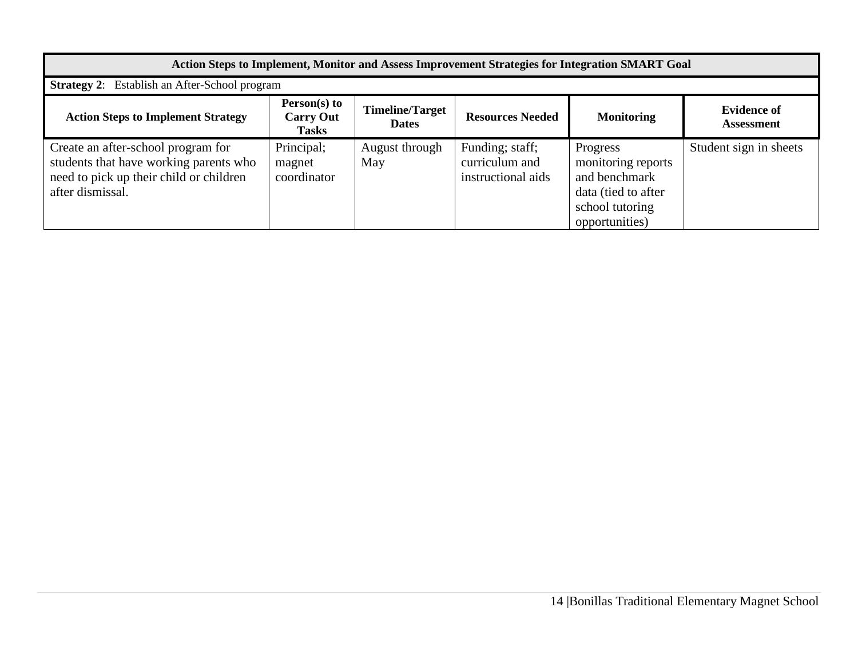| Action Steps to Implement, Monitor and Assess Improvement Strategies for Integration SMART Goal                                             |                                                    |                                        |                                                         |                                                                                                             |                                         |
|---------------------------------------------------------------------------------------------------------------------------------------------|----------------------------------------------------|----------------------------------------|---------------------------------------------------------|-------------------------------------------------------------------------------------------------------------|-----------------------------------------|
| <b>Strategy 2:</b> Establish an After-School program                                                                                        |                                                    |                                        |                                                         |                                                                                                             |                                         |
| <b>Action Steps to Implement Strategy</b>                                                                                                   | $Person(s)$ to<br><b>Carry Out</b><br><b>Tasks</b> | <b>Timeline/Target</b><br><b>Dates</b> | <b>Resources Needed</b>                                 | <b>Monitoring</b>                                                                                           | <b>Evidence of</b><br><b>Assessment</b> |
| Create an after-school program for<br>students that have working parents who<br>need to pick up their child or children<br>after dismissal. | Principal;<br>magnet<br>coordinator                | August through<br>May                  | Funding; staff;<br>curriculum and<br>instructional aids | Progress<br>monitoring reports<br>and benchmark<br>data (tied to after<br>school tutoring<br>opportunities) | Student sign in sheets                  |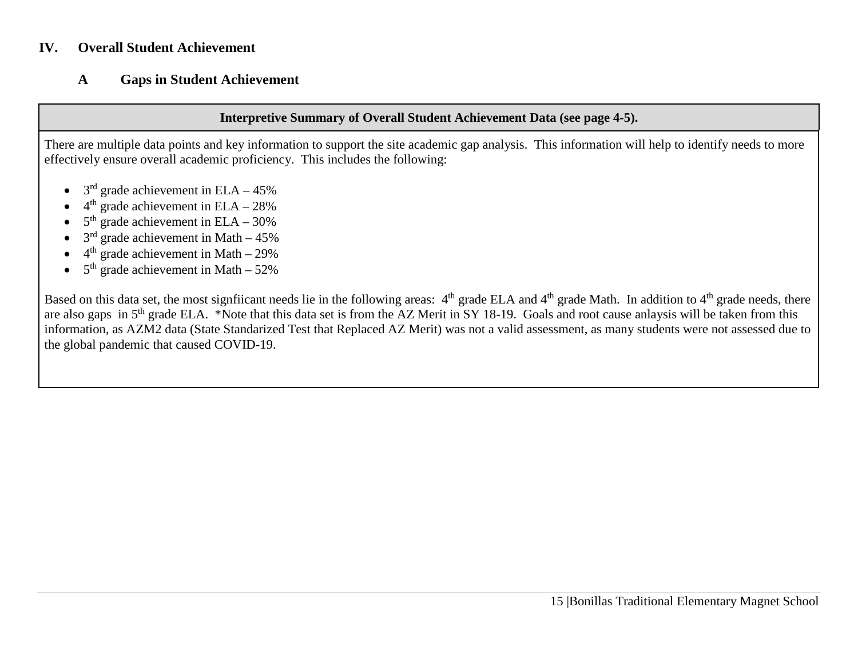### **IV. Overall Student Achievement**

## **A Gaps in Student Achievement**

#### **Interpretive Summary of Overall Student Achievement Data (see page 4-5).**

There are multiple data points and key information to support the site academic gap analysis. This information will help to identify needs to more effectively ensure overall academic proficiency. This includes the following:

- $3<sup>rd</sup>$  grade achievement in ELA 45%
- $4<sup>th</sup>$  grade achievement in ELA 28%
- $5<sup>th</sup>$  grade achievement in ELA 30%
- $3<sup>rd</sup>$  grade achievement in Math 45%
- $4<sup>th</sup>$  grade achievement in Math 29%
- $5<sup>th</sup>$  grade achievement in Math 52%

Based on this data set, the most signfiicant needs lie in the following areas:  $4<sup>th</sup>$  grade ELA and  $4<sup>th</sup>$  grade Math. In addition to  $4<sup>th</sup>$  grade needs, there are also gaps in 5<sup>th</sup> grade ELA. \*Note that this data set is from the AZ Merit in SY 18-19. Goals and root cause anlaysis will be taken from this information, as AZM2 data (State Standarized Test that Replaced AZ Merit) was not a valid assessment, as many students were not assessed due to the global pandemic that caused COVID-19.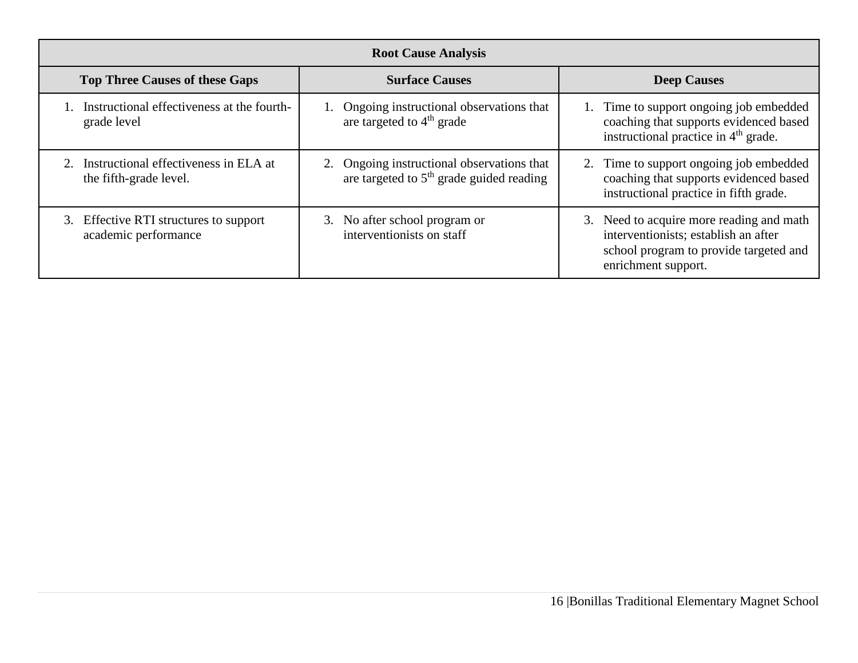| <b>Root Cause Analysis</b>                                      |                                                                                          |                                                                                                                                                   |  |  |  |
|-----------------------------------------------------------------|------------------------------------------------------------------------------------------|---------------------------------------------------------------------------------------------------------------------------------------------------|--|--|--|
| <b>Top Three Causes of these Gaps</b>                           | <b>Surface Causes</b>                                                                    | <b>Deep Causes</b>                                                                                                                                |  |  |  |
| Instructional effectiveness at the fourth-<br>grade level       | 1. Ongoing instructional observations that<br>are targeted to $4th$ grade                | 1. Time to support ongoing job embedded<br>coaching that supports evidenced based<br>instructional practice in 4 <sup>th</sup> grade.             |  |  |  |
| Instructional effectiveness in ELA at<br>the fifth-grade level. | 2. Ongoing instructional observations that<br>are targeted to $5th$ grade guided reading | 2. Time to support ongoing job embedded<br>coaching that supports evidenced based<br>instructional practice in fifth grade.                       |  |  |  |
| 3. Effective RTI structures to support<br>academic performance  | 3. No after school program or<br>interventionists on staff                               | 3. Need to acquire more reading and math<br>interventionists; establish an after<br>school program to provide targeted and<br>enrichment support. |  |  |  |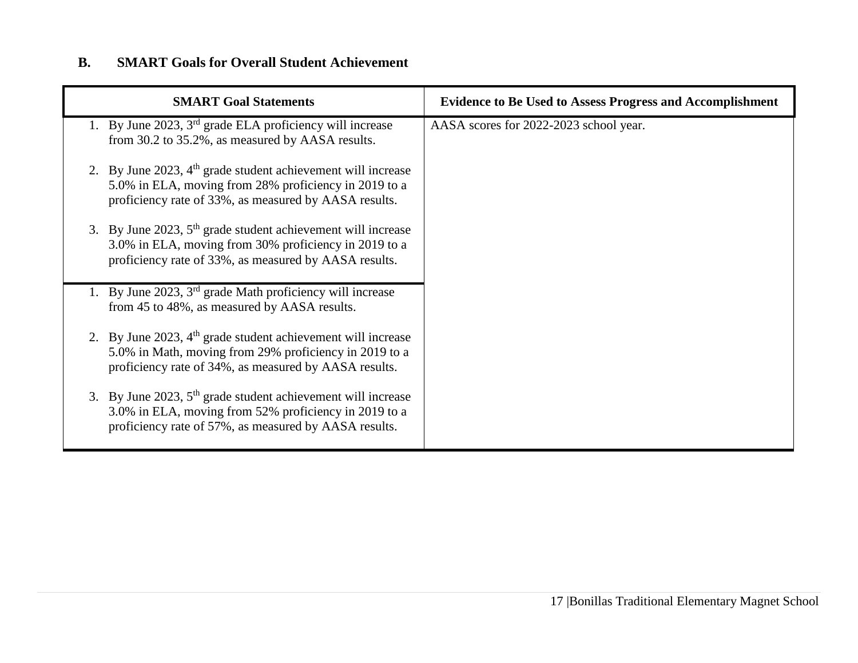# **B. SMART Goals for Overall Student Achievement**

| <b>SMART Goal Statements</b>                                                                                                                                                      | <b>Evidence to Be Used to Assess Progress and Accomplishment</b> |
|-----------------------------------------------------------------------------------------------------------------------------------------------------------------------------------|------------------------------------------------------------------|
| 1. By June 2023, $3rd$ grade ELA proficiency will increase<br>from 30.2 to 35.2%, as measured by AASA results.                                                                    | AASA scores for 2022-2023 school year.                           |
| 2. By June 2023, $4th$ grade student achievement will increase<br>5.0% in ELA, moving from 28% proficiency in 2019 to a<br>proficiency rate of 33%, as measured by AASA results.  |                                                                  |
| 3. By June 2023, $5th$ grade student achievement will increase<br>3.0% in ELA, moving from 30% proficiency in 2019 to a<br>proficiency rate of 33%, as measured by AASA results.  |                                                                  |
| 1. By June 2023, 3 <sup>rd</sup> grade Math proficiency will increase<br>from 45 to 48%, as measured by AASA results.                                                             |                                                                  |
| 2. By June 2023, $4th$ grade student achievement will increase<br>5.0% in Math, moving from 29% proficiency in 2019 to a<br>proficiency rate of 34%, as measured by AASA results. |                                                                  |
| 3. By June 2023, $5th$ grade student achievement will increase<br>3.0% in ELA, moving from 52% proficiency in 2019 to a<br>proficiency rate of 57%, as measured by AASA results.  |                                                                  |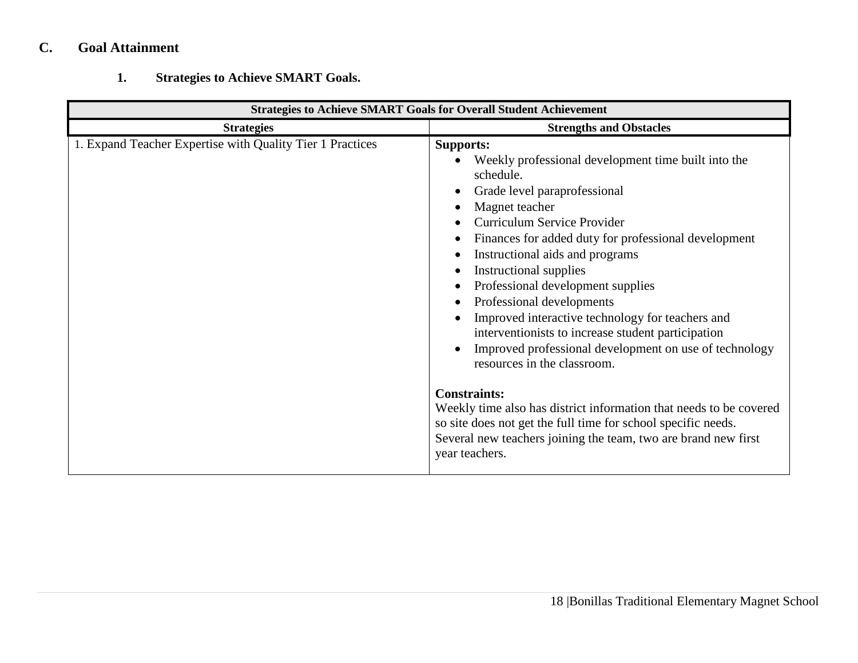# **C. Goal Attainment**

# **1. Strategies to Achieve SMART Goals.**

| <b>Strategies to Achieve SMART Goals for Overall Student Achievement</b> |                                                                                                                                                                                                                                                                                                                                                                                                                                                                                                                                                                                                                                                                                                                                                                                                                   |  |  |  |
|--------------------------------------------------------------------------|-------------------------------------------------------------------------------------------------------------------------------------------------------------------------------------------------------------------------------------------------------------------------------------------------------------------------------------------------------------------------------------------------------------------------------------------------------------------------------------------------------------------------------------------------------------------------------------------------------------------------------------------------------------------------------------------------------------------------------------------------------------------------------------------------------------------|--|--|--|
| <b>Strategies</b>                                                        | <b>Strengths and Obstacles</b>                                                                                                                                                                                                                                                                                                                                                                                                                                                                                                                                                                                                                                                                                                                                                                                    |  |  |  |
| 1. Expand Teacher Expertise with Quality Tier 1 Practices                | <b>Supports:</b><br>Weekly professional development time built into the<br>schedule.<br>Grade level paraprofessional<br>Magnet teacher<br>Curriculum Service Provider<br>Finances for added duty for professional development<br>Instructional aids and programs<br>Instructional supplies<br>Professional development supplies<br>Professional developments<br>Improved interactive technology for teachers and<br>interventionists to increase student participation<br>Improved professional development on use of technology<br>resources in the classroom.<br><b>Constraints:</b><br>Weekly time also has district information that needs to be covered<br>so site does not get the full time for school specific needs.<br>Several new teachers joining the team, two are brand new first<br>year teachers. |  |  |  |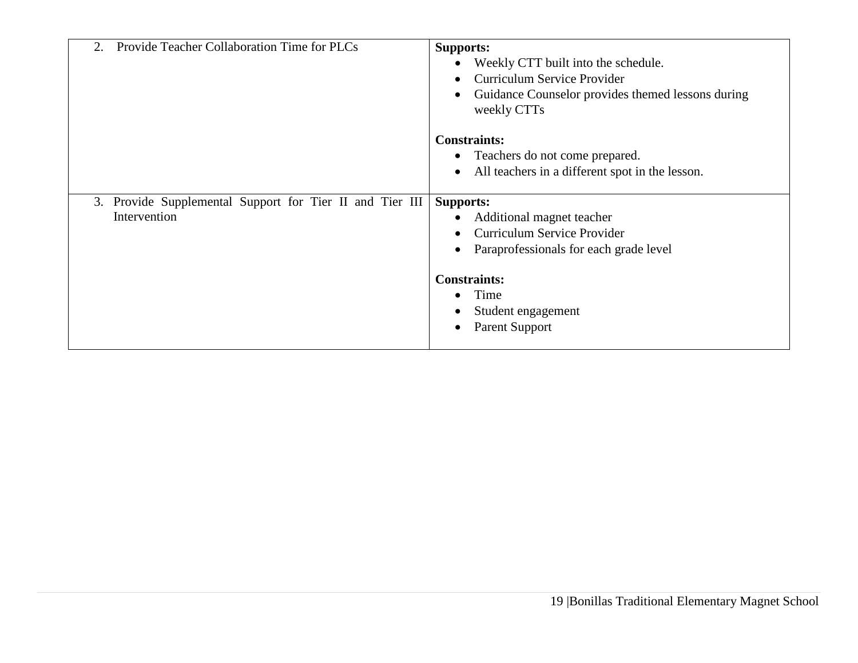| Provide Teacher Collaboration Time for PLCs<br>2.                        | <b>Supports:</b><br>Weekly CTT built into the schedule.<br>Curriculum Service Provider<br>Guidance Counselor provides themed lessons during |
|--------------------------------------------------------------------------|---------------------------------------------------------------------------------------------------------------------------------------------|
|                                                                          | weekly CTTs<br><b>Constraints:</b><br>Teachers do not come prepared.<br>All teachers in a different spot in the lesson.                     |
| 3. Provide Supplemental Support for Tier II and Tier III<br>Intervention | <b>Supports:</b><br>Additional magnet teacher<br>Curriculum Service Provider<br>Paraprofessionals for each grade level                      |
|                                                                          | <b>Constraints:</b><br>Time<br>Student engagement<br>Parent Support                                                                         |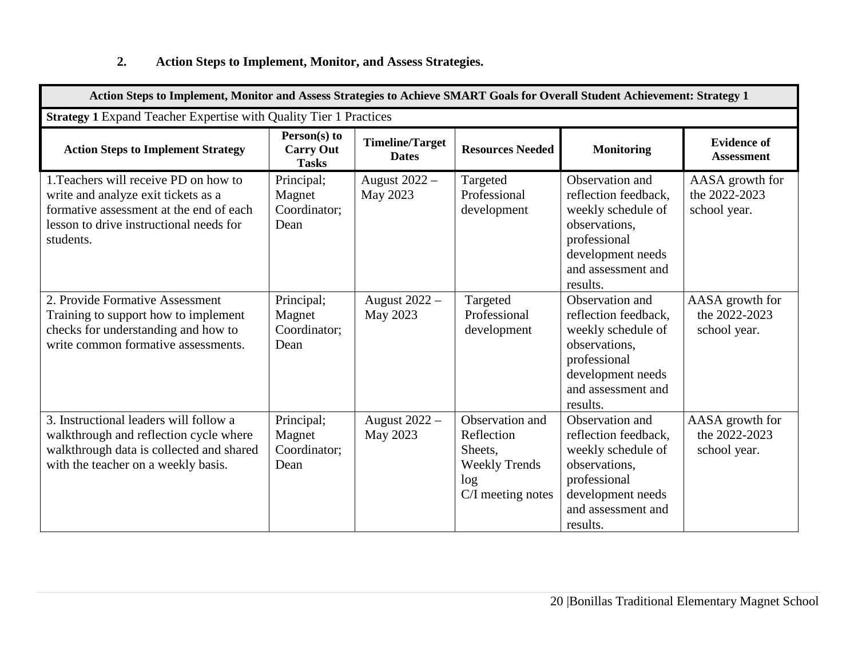# **2. Action Steps to Implement, Monitor, and Assess Strategies.**

| Action Steps to Implement, Monitor and Assess Strategies to Achieve SMART Goals for Overall Student Achievement: Strategy 1                                                     |                                                  |                                        |                                                                                              |                                                                                                                                                       |                                                  |
|---------------------------------------------------------------------------------------------------------------------------------------------------------------------------------|--------------------------------------------------|----------------------------------------|----------------------------------------------------------------------------------------------|-------------------------------------------------------------------------------------------------------------------------------------------------------|--------------------------------------------------|
| Strategy 1 Expand Teacher Expertise with Quality Tier 1 Practices                                                                                                               |                                                  |                                        |                                                                                              |                                                                                                                                                       |                                                  |
| <b>Action Steps to Implement Strategy</b>                                                                                                                                       | Person(s) to<br><b>Carry Out</b><br><b>Tasks</b> | <b>Timeline/Target</b><br><b>Dates</b> | <b>Resources Needed</b>                                                                      | <b>Monitoring</b>                                                                                                                                     | <b>Evidence of</b><br><b>Assessment</b>          |
| 1. Teachers will receive PD on how to<br>write and analyze exit tickets as a<br>formative assessment at the end of each<br>lesson to drive instructional needs for<br>students. | Principal;<br>Magnet<br>Coordinator;<br>Dean     | August $2022 -$<br>May 2023            | Targeted<br>Professional<br>development                                                      | Observation and<br>reflection feedback.<br>weekly schedule of<br>observations.<br>professional<br>development needs<br>and assessment and<br>results. | AASA growth for<br>the 2022-2023<br>school year. |
| 2. Provide Formative Assessment<br>Training to support how to implement<br>checks for understanding and how to<br>write common formative assessments.                           | Principal;<br>Magnet<br>Coordinator;<br>Dean     | August 2022 -<br>May 2023              | Targeted<br>Professional<br>development                                                      | Observation and<br>reflection feedback,<br>weekly schedule of<br>observations.<br>professional<br>development needs<br>and assessment and<br>results. | AASA growth for<br>the 2022-2023<br>school year. |
| 3. Instructional leaders will follow a<br>walkthrough and reflection cycle where<br>walkthrough data is collected and shared<br>with the teacher on a weekly basis.             | Principal;<br>Magnet<br>Coordinator;<br>Dean     | August 2022 -<br>May 2023              | Observation and<br>Reflection<br>Sheets,<br><b>Weekly Trends</b><br>log<br>C/I meeting notes | Observation and<br>reflection feedback,<br>weekly schedule of<br>observations.<br>professional<br>development needs<br>and assessment and<br>results. | AASA growth for<br>the 2022-2023<br>school year. |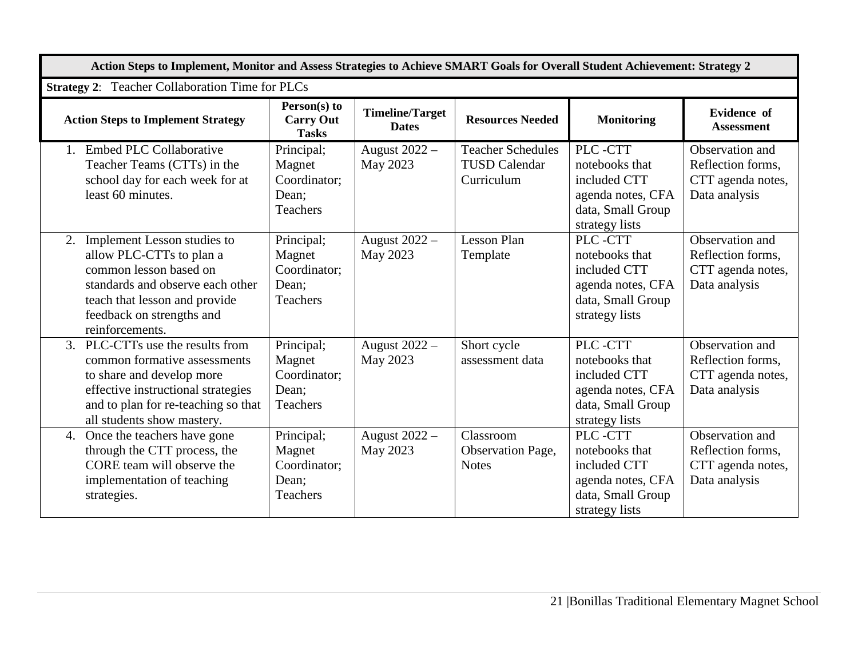| Action Steps to Implement, Monitor and Assess Strategies to Achieve SMART Goals for Overall Student Achievement: Strategy 2                                                                                  |                                                                  |                                        |                                                                |                                                                                                       |                                                                            |
|--------------------------------------------------------------------------------------------------------------------------------------------------------------------------------------------------------------|------------------------------------------------------------------|----------------------------------------|----------------------------------------------------------------|-------------------------------------------------------------------------------------------------------|----------------------------------------------------------------------------|
| <b>Strategy 2:</b> Teacher Collaboration Time for PLCs                                                                                                                                                       |                                                                  |                                        |                                                                |                                                                                                       |                                                                            |
| <b>Action Steps to Implement Strategy</b>                                                                                                                                                                    | Person(s) to<br><b>Carry Out</b><br><b>Tasks</b>                 | <b>Timeline/Target</b><br><b>Dates</b> | <b>Resources Needed</b>                                        | <b>Monitoring</b>                                                                                     | <b>Evidence</b> of<br><b>Assessment</b>                                    |
| <b>Embed PLC Collaborative</b><br>$\mathbf{1}$ .<br>Teacher Teams (CTTs) in the<br>school day for each week for at<br>least 60 minutes.                                                                      | Principal;<br>Magnet<br>Coordinator;<br>Dean;<br><b>Teachers</b> | August 2022 -<br>May 2023              | <b>Teacher Schedules</b><br><b>TUSD Calendar</b><br>Curriculum | PLC-CTT<br>notebooks that<br>included CTT<br>agenda notes, CFA<br>data, Small Group<br>strategy lists | Observation and<br>Reflection forms,<br>CTT agenda notes,<br>Data analysis |
| Implement Lesson studies to<br>2.<br>allow PLC-CTTs to plan a<br>common lesson based on<br>standards and observe each other<br>teach that lesson and provide<br>feedback on strengths and<br>reinforcements. | Principal;<br>Magnet<br>Coordinator;<br>Dean;<br><b>Teachers</b> | August 2022 -<br>May 2023              | <b>Lesson Plan</b><br>Template                                 | PLC-CTT<br>notebooks that<br>included CTT<br>agenda notes, CFA<br>data, Small Group<br>strategy lists | Observation and<br>Reflection forms,<br>CTT agenda notes,<br>Data analysis |
| 3.<br>PLC-CTTs use the results from<br>common formative assessments<br>to share and develop more<br>effective instructional strategies<br>and to plan for re-teaching so that<br>all students show mastery.  | Principal;<br>Magnet<br>Coordinator;<br>Dean:<br>Teachers        | August 2022 -<br>May 2023              | Short cycle<br>assessment data                                 | PLC-CTT<br>notebooks that<br>included CTT<br>agenda notes, CFA<br>data, Small Group<br>strategy lists | Observation and<br>Reflection forms,<br>CTT agenda notes,<br>Data analysis |
| Once the teachers have gone<br>4.<br>through the CTT process, the<br>CORE team will observe the<br>implementation of teaching<br>strategies.                                                                 | Principal;<br>Magnet<br>Coordinator;<br>Dean;<br>Teachers        | August 2022 -<br>May 2023              | Classroom<br>Observation Page,<br><b>Notes</b>                 | PLC-CTT<br>notebooks that<br>included CTT<br>agenda notes, CFA<br>data, Small Group<br>strategy lists | Observation and<br>Reflection forms,<br>CTT agenda notes,<br>Data analysis |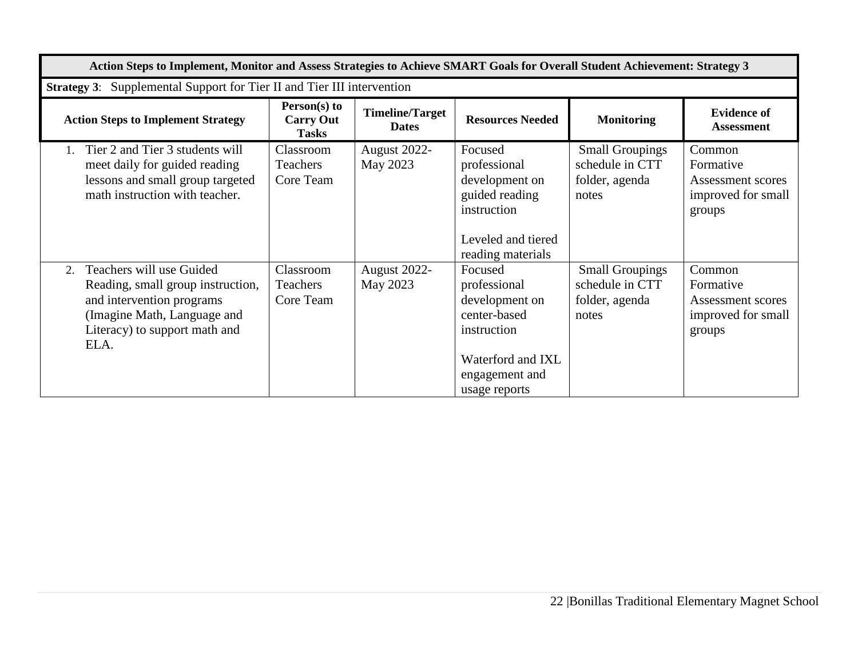| Action Steps to Implement, Monitor and Assess Strategies to Achieve SMART Goals for Overall Student Achievement: Strategy 3                                              |                                                  |                                        |                                                                                                                                  |                                                                      |                                                                          |
|--------------------------------------------------------------------------------------------------------------------------------------------------------------------------|--------------------------------------------------|----------------------------------------|----------------------------------------------------------------------------------------------------------------------------------|----------------------------------------------------------------------|--------------------------------------------------------------------------|
| <b>Strategy 3:</b> Supplemental Support for Tier II and Tier III intervention                                                                                            |                                                  |                                        |                                                                                                                                  |                                                                      |                                                                          |
| <b>Action Steps to Implement Strategy</b>                                                                                                                                | Person(s) to<br><b>Carry Out</b><br><b>Tasks</b> | <b>Timeline/Target</b><br><b>Dates</b> | <b>Resources Needed</b>                                                                                                          | <b>Monitoring</b>                                                    | <b>Evidence of</b><br><b>Assessment</b>                                  |
| Tier 2 and Tier 3 students will<br>meet daily for guided reading<br>lessons and small group targeted<br>math instruction with teacher.                                   | Classroom<br>Teachers<br>Core Team               | August 2022-<br>May 2023               | Focused<br>professional<br>development on<br>guided reading<br>instruction<br>Leveled and tiered<br>reading materials            | <b>Small Groupings</b><br>schedule in CTT<br>folder, agenda<br>notes | Common<br>Formative<br>Assessment scores<br>improved for small<br>groups |
| Teachers will use Guided<br>2.<br>Reading, small group instruction,<br>and intervention programs<br>(Imagine Math, Language and<br>Literacy) to support math and<br>ELA. | Classroom<br><b>Teachers</b><br>Core Team        | August 2022-<br>May 2023               | Focused<br>professional<br>development on<br>center-based<br>instruction<br>Waterford and IXL<br>engagement and<br>usage reports | <b>Small Groupings</b><br>schedule in CTT<br>folder, agenda<br>notes | Common<br>Formative<br>Assessment scores<br>improved for small<br>groups |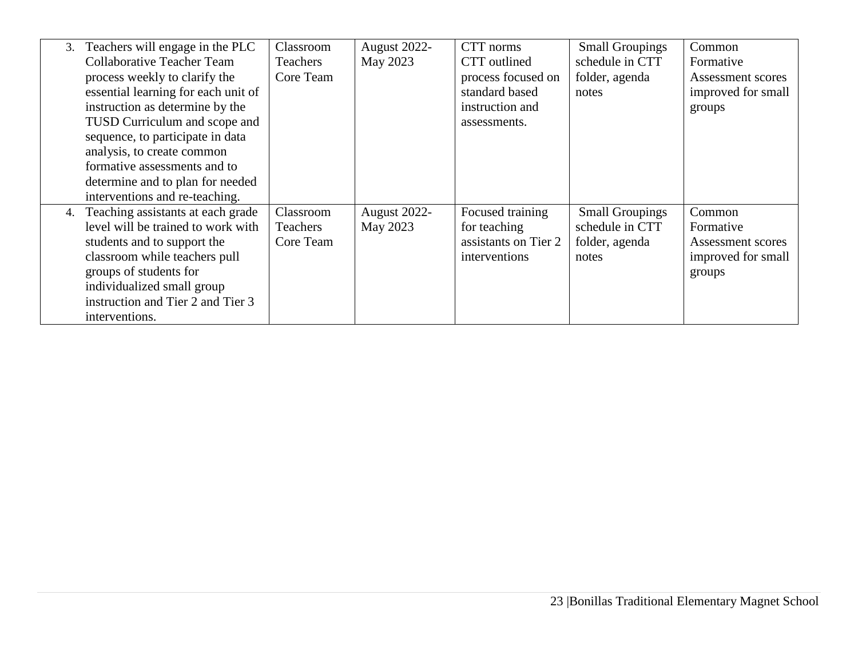| 3. | Teachers will engage in the PLC     | Classroom | August 2022- | CTT norms            | <b>Small Groupings</b> | Common             |
|----|-------------------------------------|-----------|--------------|----------------------|------------------------|--------------------|
|    | <b>Collaborative Teacher Team</b>   | Teachers  | May 2023     | CTT outlined         | schedule in CTT        | Formative          |
|    | process weekly to clarify the       | Core Team |              | process focused on   | folder, agenda         | Assessment scores  |
|    | essential learning for each unit of |           |              | standard based       | notes                  | improved for small |
|    | instruction as determine by the     |           |              | instruction and      |                        | groups             |
|    | TUSD Curriculum and scope and       |           |              | assessments.         |                        |                    |
|    | sequence, to participate in data    |           |              |                      |                        |                    |
|    | analysis, to create common          |           |              |                      |                        |                    |
|    | formative assessments and to        |           |              |                      |                        |                    |
|    | determine and to plan for needed    |           |              |                      |                        |                    |
|    | interventions and re-teaching.      |           |              |                      |                        |                    |
| 4. | Teaching assistants at each grade   | Classroom | August 2022- | Focused training     | <b>Small Groupings</b> | Common             |
|    | level will be trained to work with  | Teachers  | May 2023     | for teaching         | schedule in CTT        | Formative          |
|    | students and to support the         | Core Team |              | assistants on Tier 2 | folder, agenda         | Assessment scores  |
|    | classroom while teachers pull       |           |              | interventions        | notes                  | improved for small |
|    | groups of students for              |           |              |                      |                        | groups             |
|    | individualized small group          |           |              |                      |                        |                    |
|    | instruction and Tier 2 and Tier 3   |           |              |                      |                        |                    |
|    | interventions.                      |           |              |                      |                        |                    |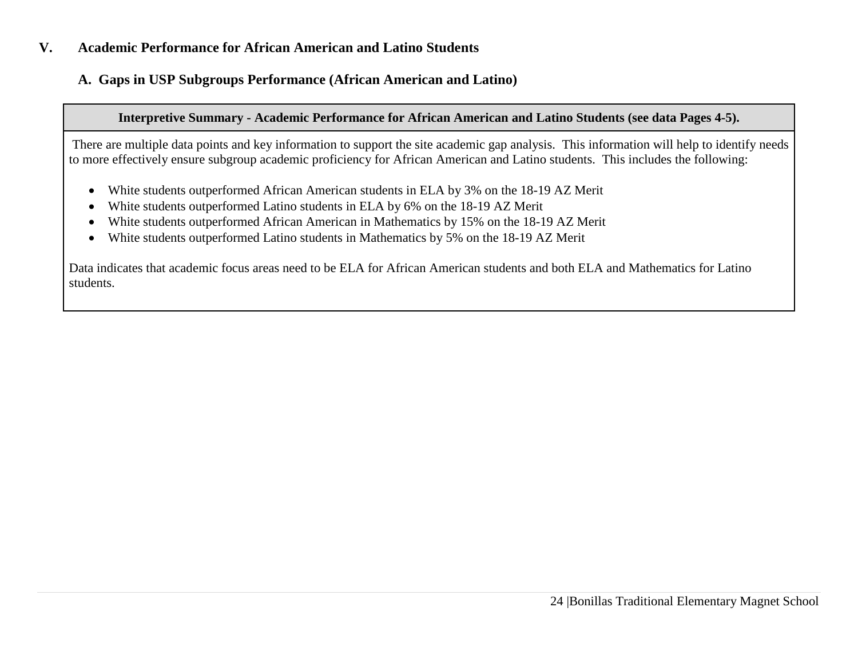### **V. Academic Performance for African American and Latino Students**

# **A. Gaps in USP Subgroups Performance (African American and Latino)**

### **Interpretive Summary - Academic Performance for African American and Latino Students (see data Pages 4-5).**

There are multiple data points and key information to support the site academic gap analysis. This information will help to identify needs to more effectively ensure subgroup academic proficiency for African American and Latino students. This includes the following:

- White students outperformed African American students in ELA by 3% on the 18-19 AZ Merit
- White students outperformed Latino students in ELA by 6% on the 18-19 AZ Merit
- White students outperformed African American in Mathematics by 15% on the 18-19 AZ Merit
- White students outperformed Latino students in Mathematics by 5% on the 18-19 AZ Merit

Data indicates that academic focus areas need to be ELA for African American students and both ELA and Mathematics for Latino students.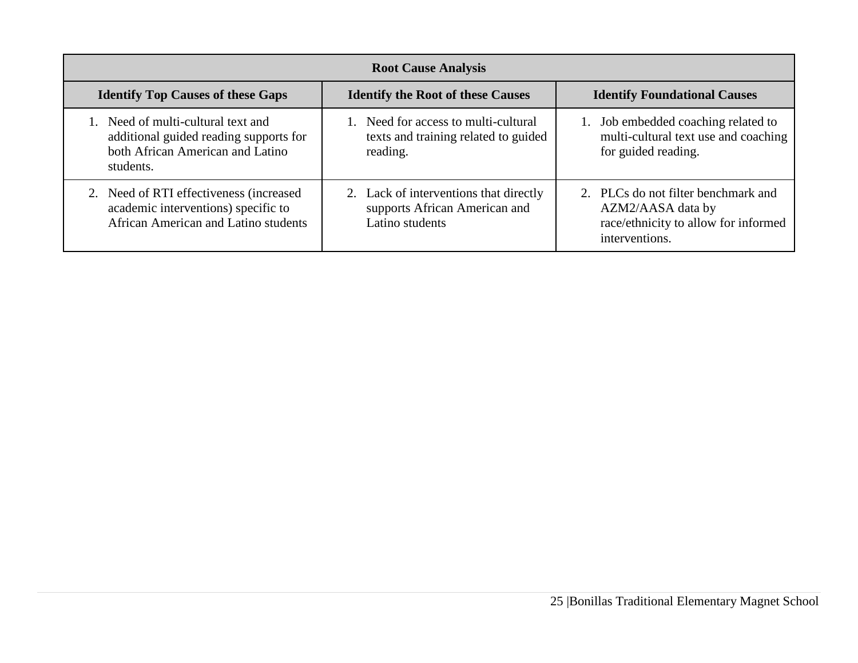| <b>Root Cause Analysis</b>                                                                                                    |                                                                                            |                                                                                                                    |  |  |  |
|-------------------------------------------------------------------------------------------------------------------------------|--------------------------------------------------------------------------------------------|--------------------------------------------------------------------------------------------------------------------|--|--|--|
| <b>Identify Top Causes of these Gaps</b>                                                                                      | <b>Identify the Root of these Causes</b>                                                   | <b>Identify Foundational Causes</b>                                                                                |  |  |  |
| 1. Need of multi-cultural text and<br>additional guided reading supports for<br>both African American and Latino<br>students. | 1. Need for access to multi-cultural<br>texts and training related to guided<br>reading.   | 1. Job embedded coaching related to<br>multi-cultural text use and coaching<br>for guided reading.                 |  |  |  |
| 2. Need of RTI effectiveness (increased)<br>academic interventions) specific to<br>African American and Latino students       | 2. Lack of interventions that directly<br>supports African American and<br>Latino students | 2. PLCs do not filter benchmark and<br>AZM2/AASA data by<br>race/ethnicity to allow for informed<br>interventions. |  |  |  |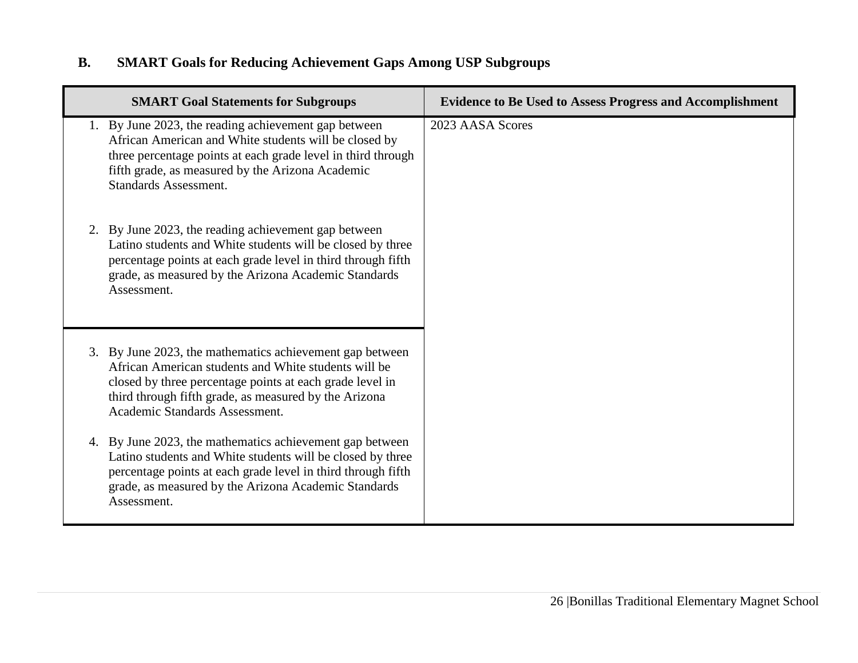# **B. SMART Goals for Reducing Achievement Gaps Among USP Subgroups**

| <b>SMART Goal Statements for Subgroups</b>                                                                                                                                                                                                                              | <b>Evidence to Be Used to Assess Progress and Accomplishment</b> |
|-------------------------------------------------------------------------------------------------------------------------------------------------------------------------------------------------------------------------------------------------------------------------|------------------------------------------------------------------|
| 1. By June 2023, the reading achievement gap between<br>African American and White students will be closed by<br>three percentage points at each grade level in third through<br>fifth grade, as measured by the Arizona Academic<br><b>Standards Assessment.</b>       | 2023 AASA Scores                                                 |
| 2. By June 2023, the reading achievement gap between<br>Latino students and White students will be closed by three<br>percentage points at each grade level in third through fifth<br>grade, as measured by the Arizona Academic Standards<br>Assessment.               |                                                                  |
| 3. By June 2023, the mathematics achievement gap between<br>African American students and White students will be<br>closed by three percentage points at each grade level in<br>third through fifth grade, as measured by the Arizona<br>Academic Standards Assessment. |                                                                  |
| 4. By June 2023, the mathematics achievement gap between<br>Latino students and White students will be closed by three<br>percentage points at each grade level in third through fifth<br>grade, as measured by the Arizona Academic Standards<br>Assessment.           |                                                                  |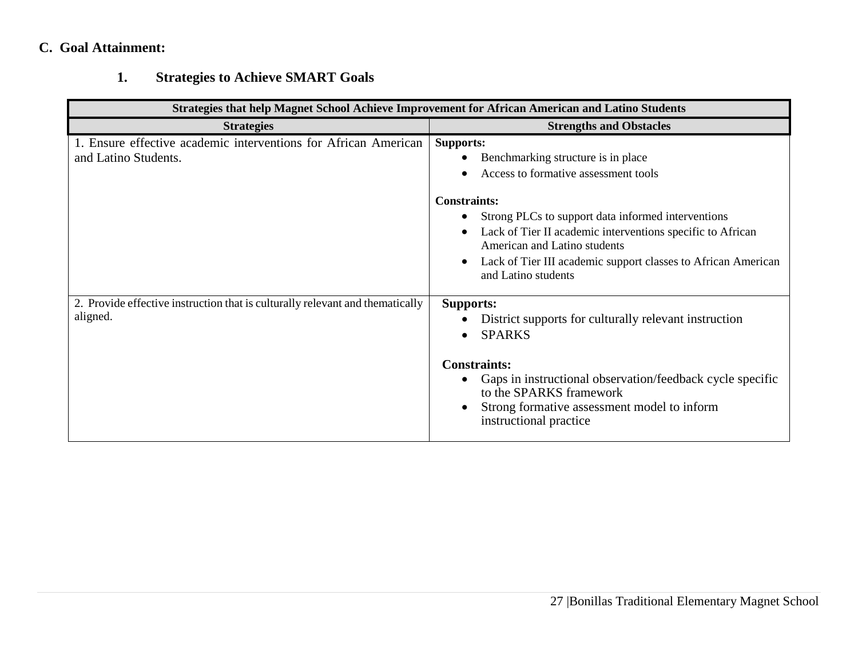# **C. Goal Attainment:**

# **1. Strategies to Achieve SMART Goals**

| <b>Strategies that help Magnet School Achieve Improvement for African American and Latino Students</b> |                                                                                                                                                                                                                                                                                                                                                                   |  |  |  |  |
|--------------------------------------------------------------------------------------------------------|-------------------------------------------------------------------------------------------------------------------------------------------------------------------------------------------------------------------------------------------------------------------------------------------------------------------------------------------------------------------|--|--|--|--|
| <b>Strategies</b>                                                                                      | <b>Strengths and Obstacles</b>                                                                                                                                                                                                                                                                                                                                    |  |  |  |  |
| 1. Ensure effective academic interventions for African American<br>and Latino Students.                | <b>Supports:</b><br>Benchmarking structure is in place<br>Access to formative assessment tools<br><b>Constraints:</b><br>Strong PLCs to support data informed interventions<br>Lack of Tier II academic interventions specific to African<br>American and Latino students<br>Lack of Tier III academic support classes to African American<br>and Latino students |  |  |  |  |
| 2. Provide effective instruction that is culturally relevant and thematically<br>aligned.              | <b>Supports:</b><br>District supports for culturally relevant instruction<br><b>SPARKS</b><br><b>Constraints:</b><br>Gaps in instructional observation/feedback cycle specific<br>to the SPARKS framework<br>Strong formative assessment model to inform<br>instructional practice                                                                                |  |  |  |  |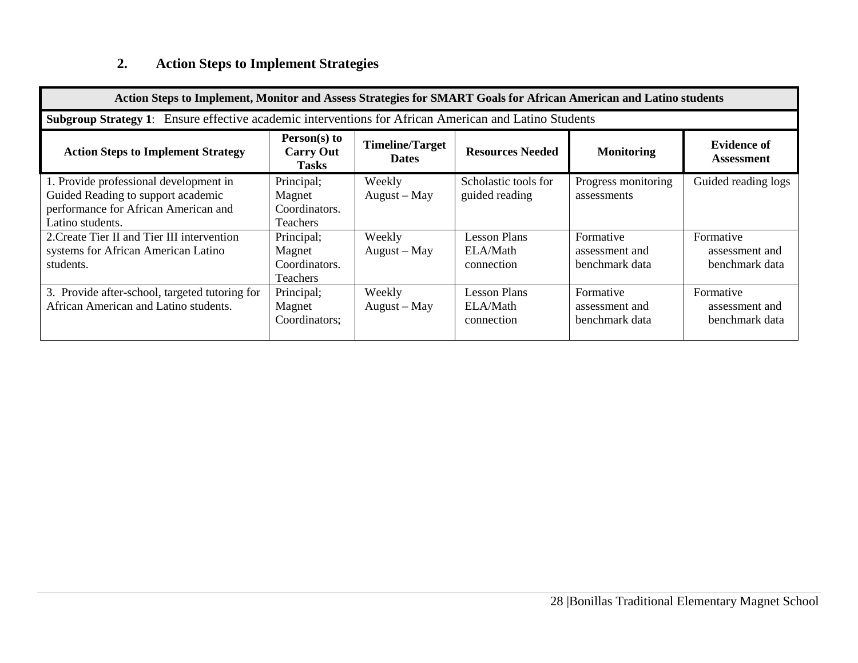# **2. Action Steps to Implement Strategies**

| Action Steps to Implement, Monitor and Assess Strategies for SMART Goals for African American and Latino students                        |                                                          |                                        |                                               |                                               |                                               |
|------------------------------------------------------------------------------------------------------------------------------------------|----------------------------------------------------------|----------------------------------------|-----------------------------------------------|-----------------------------------------------|-----------------------------------------------|
| <b>Subgroup Strategy 1:</b> Ensure effective academic interventions for African American and Latino Students                             |                                                          |                                        |                                               |                                               |                                               |
| <b>Action Steps to Implement Strategy</b>                                                                                                | $Person(s)$ to<br><b>Carry Out</b><br><b>Tasks</b>       | <b>Timeline/Target</b><br><b>Dates</b> | <b>Resources Needed</b>                       | <b>Monitoring</b>                             | <b>Evidence of</b><br><b>Assessment</b>       |
| 1. Provide professional development in<br>Guided Reading to support academic<br>performance for African American and<br>Latino students. | Principal;<br>Magnet<br>Coordinators.<br><b>Teachers</b> | Weekly<br>August – May                 | Scholastic tools for<br>guided reading        | Progress monitoring<br>assessments            | Guided reading logs                           |
| 2. Create Tier II and Tier III intervention<br>systems for African American Latino<br>students.                                          | Principal;<br>Magnet<br>Coordinators.<br><b>Teachers</b> | Weekly<br>$August - May$               | <b>Lesson Plans</b><br>ELA/Math<br>connection | Formative<br>assessment and<br>benchmark data | Formative<br>assessment and<br>benchmark data |
| 3. Provide after-school, targeted tutoring for<br>African American and Latino students.                                                  | Principal;<br>Magnet<br>Coordinators;                    | Weekly<br>$August - May$               | <b>Lesson Plans</b><br>ELA/Math<br>connection | Formative<br>assessment and<br>benchmark data | Formative<br>assessment and<br>benchmark data |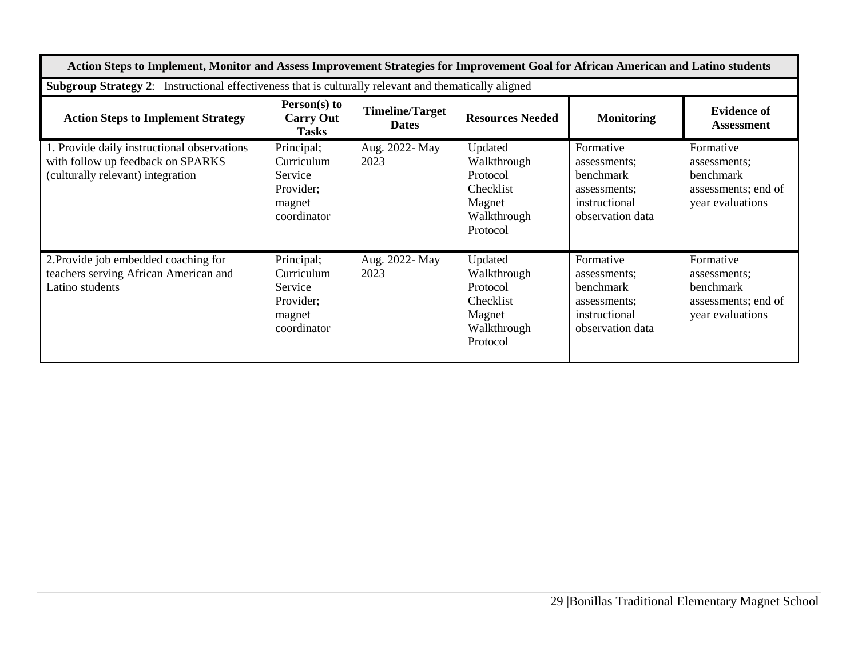| Action Steps to Implement, Monitor and Assess Improvement Strategies for Improvement Goal for African American and Latino students |                                                                           |                                        |                                                                                      |                                                                                             |                                                                                          |  |
|------------------------------------------------------------------------------------------------------------------------------------|---------------------------------------------------------------------------|----------------------------------------|--------------------------------------------------------------------------------------|---------------------------------------------------------------------------------------------|------------------------------------------------------------------------------------------|--|
| Subgroup Strategy 2: Instructional effectiveness that is culturally relevant and thematically aligned                              |                                                                           |                                        |                                                                                      |                                                                                             |                                                                                          |  |
| <b>Action Steps to Implement Strategy</b>                                                                                          | Person(s) to<br><b>Carry Out</b><br><b>Tasks</b>                          | <b>Timeline/Target</b><br><b>Dates</b> | <b>Resources Needed</b>                                                              | <b>Monitoring</b>                                                                           | <b>Evidence of</b><br><b>Assessment</b>                                                  |  |
| 1. Provide daily instructional observations<br>with follow up feedback on SPARKS<br>(culturally relevant) integration              | Principal;<br>Curriculum<br>Service<br>Provider;<br>magnet<br>coordinator | Aug. 2022- May<br>2023                 | Updated<br>Walkthrough<br>Protocol<br>Checklist<br>Magnet<br>Walkthrough<br>Protocol | Formative<br>assessments:<br>benchmark<br>assessments;<br>instructional<br>observation data | Formative<br>assessments;<br>benchmark<br>assessments; end of<br>year evaluations        |  |
| 2. Provide job embedded coaching for<br>teachers serving African American and<br>Latino students                                   | Principal;<br>Curriculum<br>Service<br>Provider;<br>magnet<br>coordinator | Aug. 2022- May<br>2023                 | Updated<br>Walkthrough<br>Protocol<br>Checklist<br>Magnet<br>Walkthrough<br>Protocol | Formative<br>assessments;<br>benchmark<br>assessments:<br>instructional<br>observation data | Formative<br>assessments;<br><b>benchmark</b><br>assessments; end of<br>year evaluations |  |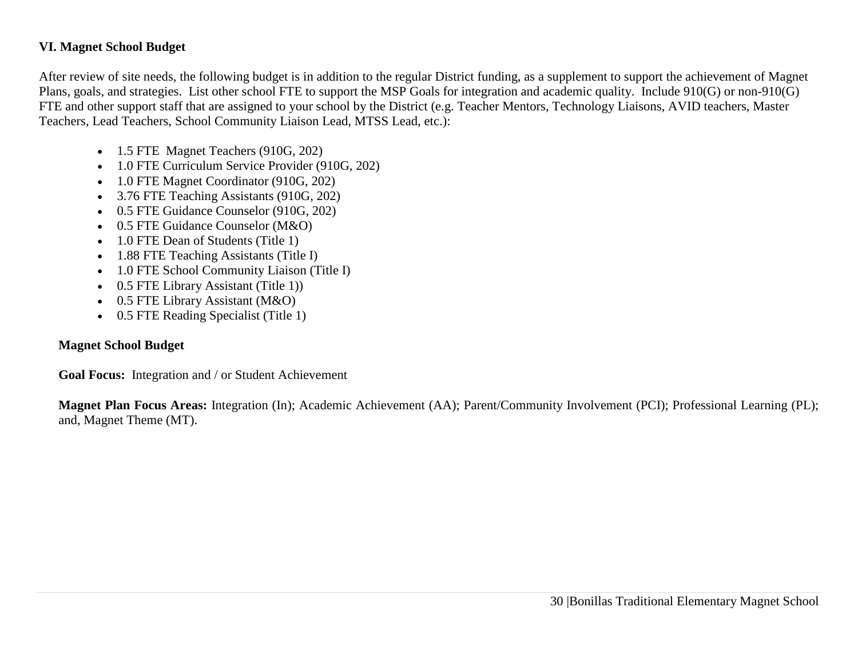### **VI. Magnet School Budget**

After review of site needs, the following budget is in addition to the regular District funding, as a supplement to support the achievement of Magnet Plans, goals, and strategies. List other school FTE to support the MSP Goals for integration and academic quality. Include 910(G) or non-910(G) FTE and other support staff that are assigned to your school by the District (e.g. Teacher Mentors, Technology Liaisons, AVID teachers, Master Teachers, Lead Teachers, School Community Liaison Lead, MTSS Lead, etc.):

- 1.5 FTE Magnet Teachers (910G, 202)
- 1.0 FTE Curriculum Service Provider (910G, 202)
- 1.0 FTE Magnet Coordinator (910G, 202)
- 3.76 FTE Teaching Assistants (910G, 202)
- 0.5 FTE Guidance Counselor (910G, 202)
- 0.5 FTE Guidance Counselor (M&O)
- 1.0 FTE Dean of Students (Title 1)
- 1.88 FTE Teaching Assistants (Title I)
- 1.0 FTE School Community Liaison (Title I)
- 0.5 FTE Library Assistant (Title 1))
- 0.5 FTE Library Assistant (M&O)
- 0.5 FTE Reading Specialist (Title 1)

### **Magnet School Budget**

**Goal Focus:** Integration and / or Student Achievement

**Magnet Plan Focus Areas:** Integration (In); Academic Achievement (AA); Parent/Community Involvement (PCI); Professional Learning (PL); and, Magnet Theme (MT).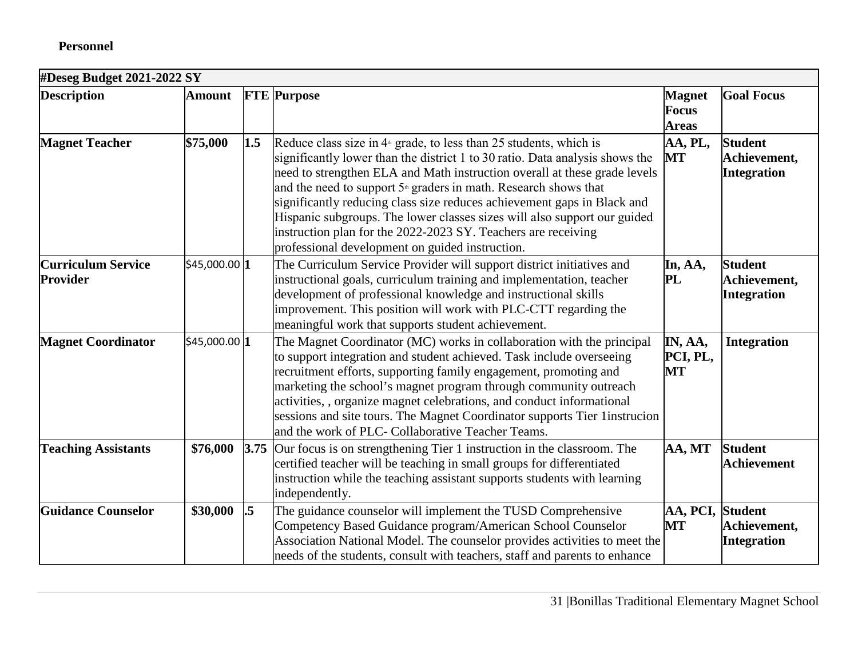# **Personnel**

# **#Deseg Budget 2021-2022 SY**

| <b>Description</b>                    | <b>Amount</b> |                 | <b>FTE</b> Purpose                                                                                                                                                                                                                                                                                                                                                                                                                                                                                                                                                                | <b>Magnet</b><br>Focus<br><b>Areas</b> | <b>Goal Focus</b>                             |
|---------------------------------------|---------------|-----------------|-----------------------------------------------------------------------------------------------------------------------------------------------------------------------------------------------------------------------------------------------------------------------------------------------------------------------------------------------------------------------------------------------------------------------------------------------------------------------------------------------------------------------------------------------------------------------------------|----------------------------------------|-----------------------------------------------|
| <b>Magnet Teacher</b>                 | \$75,000      | 1.5             | Reduce class size in $4th$ grade, to less than 25 students, which is<br>significantly lower than the district 1 to 30 ratio. Data analysis shows the<br>need to strengthen ELA and Math instruction overall at these grade levels<br>and the need to support $5*$ graders in math. Research shows that<br>significantly reducing class size reduces achievement gaps in Black and<br>Hispanic subgroups. The lower classes sizes will also support our guided<br>instruction plan for the 2022-2023 SY. Teachers are receiving<br>professional development on guided instruction. | AA, PL,<br><b>MT</b>                   | <b>Student</b><br>Achievement,<br>Integration |
| <b>Curriculum Service</b><br>Provider | \$45,000.00 1 |                 | The Curriculum Service Provider will support district initiatives and<br>instructional goals, curriculum training and implementation, teacher<br>development of professional knowledge and instructional skills<br>improvement. This position will work with PLC-CTT regarding the<br>meaningful work that supports student achievement.                                                                                                                                                                                                                                          | In, AA,<br>PL                          | <b>Student</b><br>Achievement,<br>Integration |
| <b>Magnet Coordinator</b>             | \$45,000.00 1 |                 | The Magnet Coordinator (MC) works in collaboration with the principal<br>to support integration and student achieved. Task include overseeing<br>recruitment efforts, supporting family engagement, promoting and<br>marketing the school's magnet program through community outreach<br>activities, , organize magnet celebrations, and conduct informational<br>sessions and site tours. The Magnet Coordinator supports Tier 1 instrucion<br>and the work of PLC- Collaborative Teacher Teams.                                                                                 | IN, AA,<br>PCI, PL,<br><b>MT</b>       | <b>Integration</b>                            |
| <b>Teaching Assistants</b>            | \$76,000      | 3.75            | Our focus is on strengthening Tier 1 instruction in the classroom. The<br>certified teacher will be teaching in small groups for differentiated<br>instruction while the teaching assistant supports students with learning<br>independently.                                                                                                                                                                                                                                                                                                                                     | AA, MT                                 | <b>Student</b><br><b>Achievement</b>          |
| <b>Guidance Counselor</b>             | \$30,000      | $\overline{.5}$ | The guidance counselor will implement the TUSD Comprehensive<br>Competency Based Guidance program/American School Counselor<br>Association National Model. The counselor provides activities to meet the<br>needs of the students, consult with teachers, staff and parents to enhance                                                                                                                                                                                                                                                                                            | AA, PCI,<br><b>MT</b>                  | <b>Student</b><br>Achievement,<br>Integration |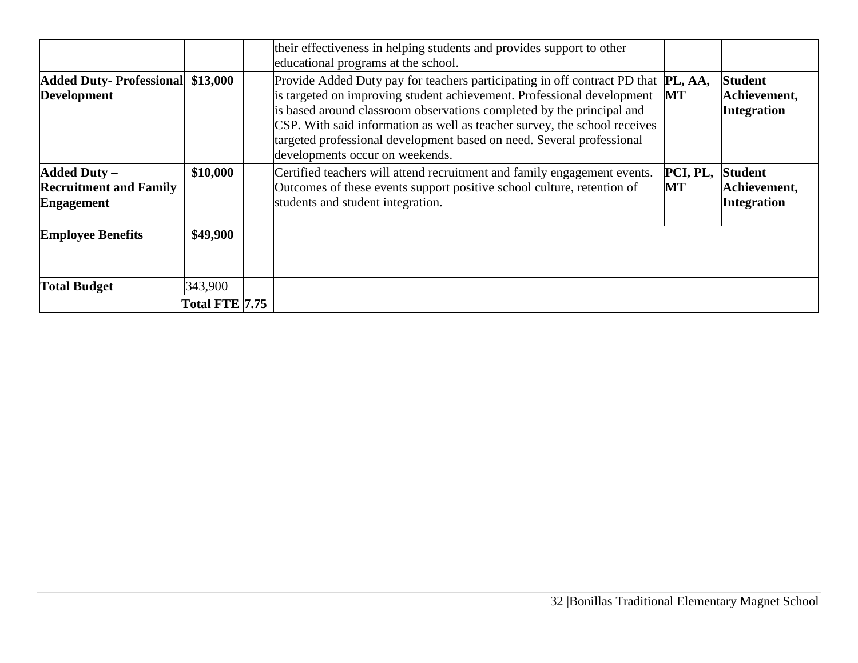|                                                                           |                       | their effectiveness in helping students and provides support to other<br>educational programs at the school.                                                                                                                                                                                                                                                                                                                          |                |                                                      |
|---------------------------------------------------------------------------|-----------------------|---------------------------------------------------------------------------------------------------------------------------------------------------------------------------------------------------------------------------------------------------------------------------------------------------------------------------------------------------------------------------------------------------------------------------------------|----------------|------------------------------------------------------|
| Added Duty-Professional \$13,000<br>Development                           |                       | Provide Added Duty pay for teachers participating in off contract PD that <b>PL, AA</b> ,<br>is targeted on improving student achievement. Professional development<br>is based around classroom observations completed by the principal and<br>CSP. With said information as well as teacher survey, the school receives<br>targeted professional development based on need. Several professional<br>developments occur on weekends. | MT             | <b>Student</b><br>Achievement,<br><b>Integration</b> |
| <b>Added Duty -</b><br><b>Recruitment and Family</b><br><b>Engagement</b> | \$10,000              | Certified teachers will attend recruitment and family engagement events.<br>Outcomes of these events support positive school culture, retention of<br>students and student integration.                                                                                                                                                                                                                                               | PCI, PL,<br>MT | <b>Student</b><br>Achievement,<br><b>Integration</b> |
| <b>Employee Benefits</b>                                                  | \$49,900              |                                                                                                                                                                                                                                                                                                                                                                                                                                       |                |                                                      |
| <b>Total Budget</b>                                                       | 343,900               |                                                                                                                                                                                                                                                                                                                                                                                                                                       |                |                                                      |
|                                                                           | <b>Total FTE 7.75</b> |                                                                                                                                                                                                                                                                                                                                                                                                                                       |                |                                                      |